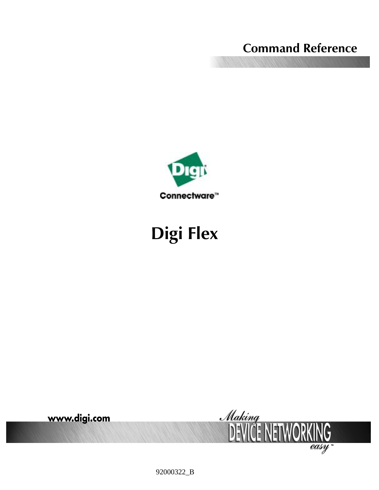# **Command Reference**



# **Digi Flex**



92000322\_B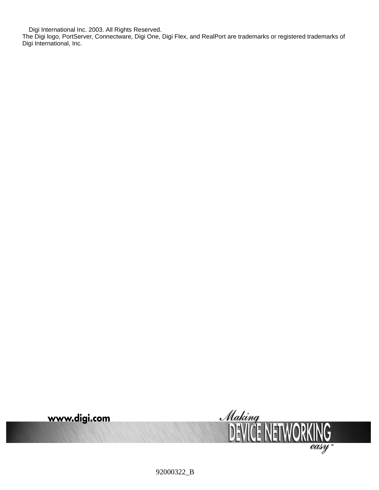Digi International Inc. 2003. All Rights Reserved.

The Digi logo, PortServer, Connectware, Digi One, Digi Flex, and RealPort are trademarks or registered trademarks of Digi International, Inc.



92000322\_B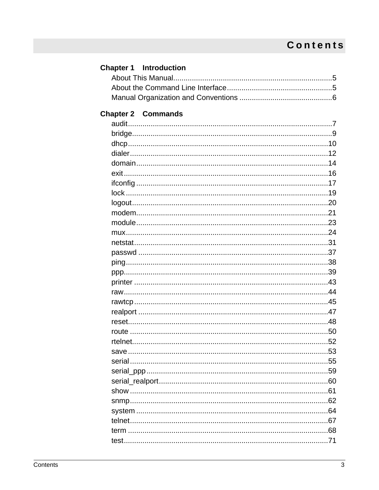# **Contents**

| <b>Chapter 1</b> Introduction |  |
|-------------------------------|--|
|                               |  |
|                               |  |
|                               |  |
|                               |  |
| <b>Chapter 2 Commands</b>     |  |
|                               |  |
|                               |  |
|                               |  |
|                               |  |
|                               |  |
|                               |  |
|                               |  |
|                               |  |
|                               |  |
|                               |  |
|                               |  |
|                               |  |
|                               |  |
|                               |  |
|                               |  |
|                               |  |
|                               |  |
|                               |  |
|                               |  |
|                               |  |
|                               |  |
|                               |  |
|                               |  |
|                               |  |
|                               |  |
|                               |  |
|                               |  |
|                               |  |
|                               |  |
|                               |  |
|                               |  |
|                               |  |
|                               |  |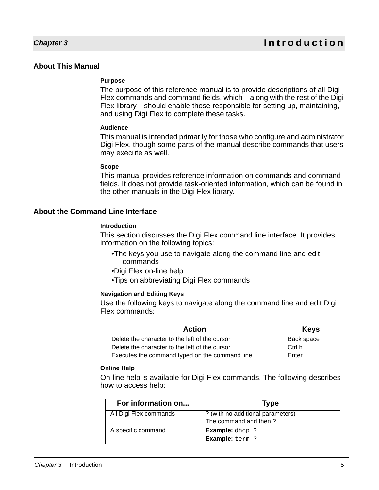#### **About This Manual**

#### **Purpose**

The purpose of this reference manual is to provide descriptions of all Digi Flex commands and command fields, which—along with the rest of the Digi Flex library—should enable those responsible for setting up, maintaining, and using Digi Flex to complete these tasks.

#### **Audience**

This manual is intended primarily for those who configure and administrator Digi Flex, though some parts of the manual describe commands that users may execute as well.

#### **Scope**

This manual provides reference information on commands and command fields. It does not provide task-oriented information, which can be found in the other manuals in the Digi Flex library.

#### **About the Command Line Interface**

#### **Introduction**

This section discusses the Digi Flex command line interface. It provides information on the following topics:

- •The keys you use to navigate along the command line and edit commands
- •Digi Flex on-line help
- •Tips on abbreviating Digi Flex commands

#### **Navigation and Editing Keys**

Use the following keys to navigate along the command line and edit Digi Flex commands:

| <b>Action</b>                                  | <b>Keys</b> |
|------------------------------------------------|-------------|
| Delete the character to the left of the cursor | Back space  |
| Delete the character to the left of the cursor | Ctrl h      |
| Executes the command typed on the command line | Enter       |

#### **Online Help**

On-line help is available for Digi Flex commands. The following describes how to access help:

| For information on     | Type                              |
|------------------------|-----------------------------------|
| All Digi Flex commands | ? (with no additional parameters) |
| A specific command     | The command and then?             |
|                        | <b>Example:</b> dhcp ?            |
|                        | <b>Example:</b> term ?            |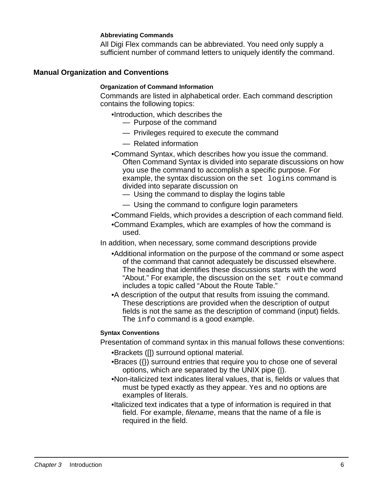#### **Abbreviating Commands**

All Digi Flex commands can be abbreviated. You need only supply a sufficient number of command letters to uniquely identify the command.

#### **Manual Organization and Conventions**

#### **Organization of Command Information**

Commands are listed in alphabetical order. Each command description contains the following topics:

- •Introduction, which describes the
	- Purpose of the command
	- Privileges required to execute the command
	- Related information
- •Command Syntax, which describes how you issue the command. Often Command Syntax is divided into separate discussions on how you use the command to accomplish a specific purpose. For example, the syntax discussion on the set logins command is divided into separate discussion on
	- Using the command to display the logins table
	- Using the command to configure login parameters
- •Command Fields, which provides a description of each command field.
- •Command Examples, which are examples of how the command is used.
- In addition, when necessary, some command descriptions provide
	- •Additional information on the purpose of the command or some aspect of the command that cannot adequately be discussed elsewhere. The heading that identifies these discussions starts with the word "About." For example, the discussion on the set route command includes a topic called "About the Route Table."
	- •A description of the output that results from issuing the command. These descriptions are provided when the description of output fields is not the same as the description of command (input) fields. The info command is a good example.

#### **Syntax Conventions**

Presentation of command syntax in this manual follows these conventions:

- •Brackets ([]) surround optional material.
- •Braces ({}) surround entries that require you to chose one of several options, which are separated by the UNIX pipe (|).
- •Non-italicized text indicates literal values, that is, fields or values that must be typed exactly as they appear. Yes and no options are examples of literals.
- •Italicized text indicates that a type of information is required in that field. For example, filename, means that the name of a file is required in the field.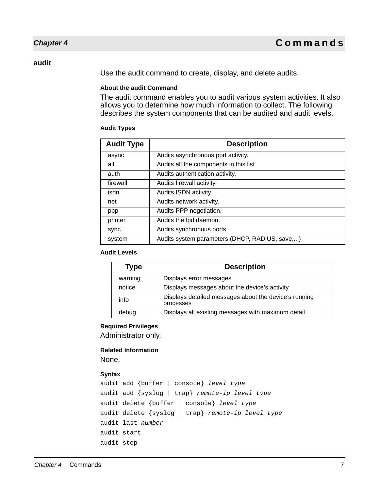#### **audit**

Use the audit command to create, display, and delete audits.

#### **About the audit Command**

The audit command enables you to audit various system activities. It also allows you to determine how much information to collect. The following describes the system components that can be audited and audit levels.

#### **Audit Types**

| <b>Audit Type</b> | <b>Description</b>                             |
|-------------------|------------------------------------------------|
| async             | Audits asynchronous port activity.             |
| all               | Audits all the components in this list         |
| auth              | Audits authentication activity.                |
| firewall          | Audits firewall activity.                      |
| isdn              | Audits ISDN activity.                          |
| net               | Audits network activity.                       |
| ppp               | Audits PPP negotiation.                        |
| printer           | Audits the Ipd daemon.                         |
| sync              | Audits synchronous ports.                      |
| system            | Audits system parameters (DHCP, RADIUS, save,) |

#### **Audit Levels**

| Type    | <b>Description</b>                                                 |
|---------|--------------------------------------------------------------------|
| warning | Displays error messages                                            |
| notice  | Displays messages about the device's activity                      |
| info    | Displays detailed messages about the device's running<br>processes |
| debug   | Displays all existing messages with maximum detail                 |

#### **Required Privileges**

Administrator only.

# **Related Information**

None.

#### **Syntax**

```
audit add {buffer | console} level type
audit add {syslog | trap} remote-ip level type
audit delete {buffer | console} level type
audit delete {syslog | trap} remote-ip level type
audit last number
audit start
audit stop
```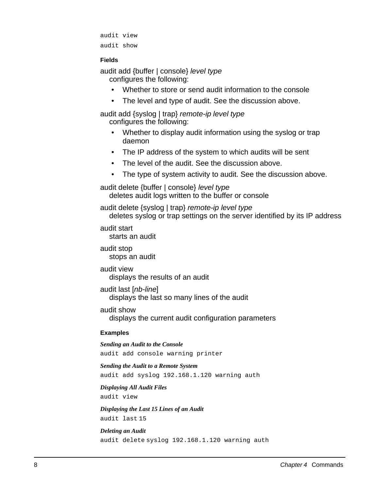audit view audit show

#### **Fields**

audit add {buffer | console} level type configures the following:

- Whether to store or send audit information to the console
- The level and type of audit. See the discussion above.

audit add {syslog | trap} remote-ip level type configures the following:

- Whether to display audit information using the syslog or trap daemon
- The IP address of the system to which audits will be sent
- The level of the audit. See the discussion above.
- The type of system activity to audit. See the discussion above.

audit delete {buffer | console} level type deletes audit logs written to the buffer or console

audit delete {syslog | trap} remote-ip level type deletes syslog or trap settings on the server identified by its IP address

audit start starts an audit

audit stop stops an audit

audit view displays the results of an audit

audit last [nb-line] displays the last so many lines of the audit

audit show

displays the current audit configuration parameters

#### **Examples**

*Sending an Audit to the Console* audit add console warning printer

#### *Sending the Audit to a Remote System*

audit add syslog 192.168.1.120 warning auth

#### *Displaying All Audit Files*

audit view

*Displaying the Last 15 Lines of an Audit* audit last 15

#### *Deleting an Audit* audit delete syslog 192.168.1.120 warning auth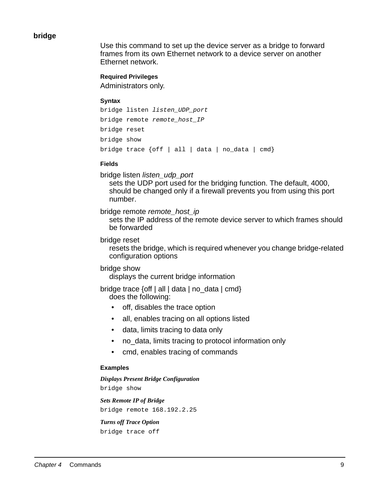#### **bridge**

Use this command to set up the device server as a bridge to forward frames from its own Ethernet network to a device server on another Ethernet network.

#### **Required Privileges**

Administrators only.

#### **Syntax**

```
bridge listen listen_UDP_port
bridge remote remote host IP
bridge reset
bridge show
bridge trace {off | all | data | no_data | cmd}
```
#### **Fields**

bridge listen listen\_udp\_port

sets the UDP port used for the bridging function. The default, 4000, should be changed only if a firewall prevents you from using this port number.

bridge remote remote host ip

sets the IP address of the remote device server to which frames should be forwarded

bridge reset

resets the bridge, which is required whenever you change bridge-related configuration options

#### bridge show

displays the current bridge information

bridge trace {off | all | data | no\_data | cmd} does the following:

- off, disables the trace option
- all, enables tracing on all options listed
- data, limits tracing to data only
- no data, limits tracing to protocol information only
- cmd, enables tracing of commands

#### **Examples**

*Displays Present Bridge Configuration* bridge show

*Sets Remote IP of Bridge* bridge remote 168.192.2.25

*Turns off Trace Option* bridge trace off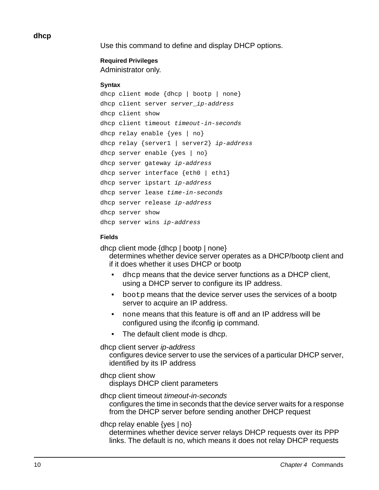#### **dhcp**

Use this command to define and display DHCP options.

# **Required Privileges**

Administrator only.

#### **Syntax**

```
dhcp client mode {dhcp / bootp / none}
dhcp client server server_ip-address
dhcp client show
dhcp client timeout timeout-in-seconds
dhcp relay enable \{yes \mid no\}dhcp relay {server1 / server2} ip-address
dhcp server enable {yes | no}
dhcp server gateway ip-address
dhcp server interface {eth0 | eth1}
dhcp server ipstart ip-address
dhcp server lease time-in-seconds
dhcp server release ip-address
dhcp server show
dhcp server wins ip-address
```
#### **Fields**

dhcp client mode {dhcp | bootp | none} determines whether device server operates as a DHCP/bootp client and if it does whether it uses DHCP or bootp

- dhcp means that the device server functions as a DHCP client, using a DHCP server to configure its IP address.
- bootp means that the device server uses the services of a bootp server to acquire an IP address.
- none means that this feature is off and an IP address will be configured using the ifconfig ip command.
- The default client mode is dhcp.

#### dhcp client server ip-address

configures device server to use the services of a particular DHCP server, identified by its IP address

#### dhcp client show

displays DHCP client parameters

#### dhcp client timeout timeout-in-seconds

configures the time in seconds that the device server waits for a response from the DHCP server before sending another DHCP request

#### dhcp relay enable  $\{yes \mid no\}$

determines whether device server relays DHCP requests over its PPP links. The default is no, which means it does not relay DHCP requests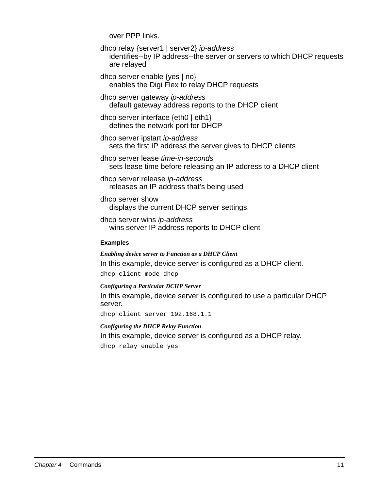over PPP links.

dhcp relay {server1 | server2} ip-address identifies--by IP address--the server or servers to which DHCP requests are relayed

dhcp server enable {yes | no} enables the Digi Flex to relay DHCP requests

dhcp server gateway ip-address default gateway address reports to the DHCP client

dhcp server interface {eth0 | eth1} defines the network port for DHCP

dhcp server ipstart ip-address sets the first IP address the server gives to DHCP clients

dhcp server lease time-in-seconds sets lease time before releasing an IP address to a DHCP client

dhcp server release ip-address releases an IP address that's being used

dhcp server show displays the current DHCP server settings.

dhcp server wins ip-address wins server IP address reports to DHCP client

#### **Examples**

*Enabling device server to Function as a DHCP Client* In this example, device server is configured as a DHCP client. dhcp client mode dhcp

*Configuring a Particular DCHP Server*

In this example, device server is configured to use a particular DHCP server.

dhcp client server 192.168.1.1

*Configuring the DHCP Relay Function* In this example, device server is configured as a DHCP relay.

dhcp relay enable yes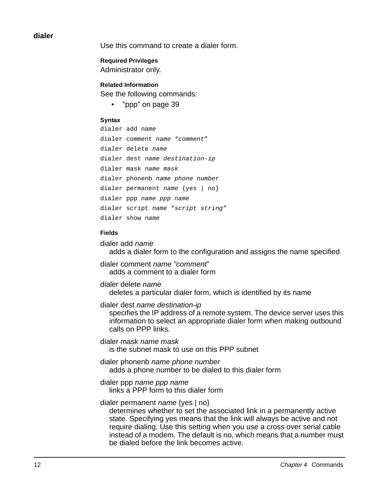#### **dialer**

Use this command to create a dialer form.

**Required Privileges** Administrator only.

**Related Information** See the following commands:

"ppp" on page 39

#### **Syntax**

dialer add name dialer comment name "comment" dialer delete name dialer dest name destination-ip dialer mask name mask dialer phonenb name phone number dialer permanent name {yes | no} dialer ppp name ppp name dialer script name "script string" dialer show name

#### **Fields**

dialer add name adds a dialer form to the configuration and assigns the name specified

dialer comment name "comment" adds a comment to a dialer form

dialer delete name deletes a particular dialer form, which is identified by its name

dialer dest name destination-ip

specifies the IP address of a remote system. The device server uses this information to select an appropriate dialer form when making outbound calls on PPP links.

dialer mask name mask is the subnet mask to use on this PPP subnet

dialer phonenb name phone number adds a phone number to be dialed to this dialer form

dialer ppp name ppp name

links a PPP form to this dialer form

dialer permanent *name* {yes | no}

determines whether to set the associated link in a permanently active state. Specifying yes means that the link will always be active and not require dialing. Use this setting when you use a cross over serial cable instead of a modem. The default is no, which means that a number must be dialed before the link becomes active.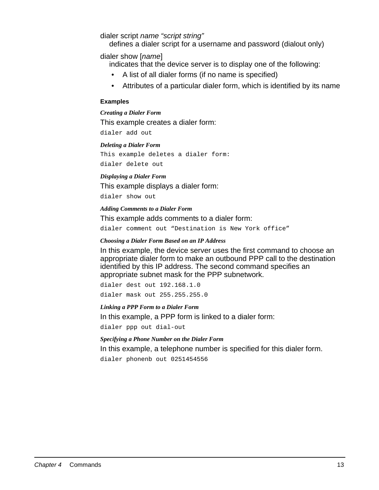dialer script name "script string"

defines a dialer script for a username and password (dialout only)

dialer show [name]

indicates that the device server is to display one of the following:

- A list of all dialer forms (if no name is specified)
- Attributes of a particular dialer form, which is identified by its name

#### **Examples**

*Creating a Dialer Form* This example creates a dialer form: dialer add out

#### *Deleting a Dialer Form*

This example deletes a dialer form: dialer delete out

#### *Displaying a Dialer Form*

This example displays a dialer form:

dialer show out

#### *Adding Comments to a Dialer Form*

This example adds comments to a dialer form:

dialer comment out "Destination is New York office"

#### *Choosing a Dialer Form Based on an IP Address*

In this example, the device server uses the first command to choose an appropriate dialer form to make an outbound PPP call to the destination identified by this IP address. The second command specifies an appropriate subnet mask for the PPP subnetwork.

dialer dest out 192.168.1.0

dialer mask out 255.255.255.0

#### *Linking a PPP Form to a Dialer Form*

In this example, a PPP form is linked to a dialer form:

dialer ppp out dial-out

#### *Specifying a Phone Number on the Dialer Form*

In this example, a telephone number is specified for this dialer form. dialer phonenb out 0251454556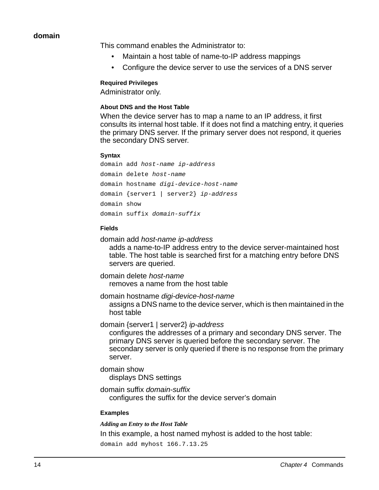#### **domain**

This command enables the Administrator to:

- Maintain a host table of name-to-IP address mappings
- Configure the device server to use the services of a DNS server

#### **Required Privileges**

Administrator only.

#### **About DNS and the Host Table**

When the device server has to map a name to an IP address, it first consults its internal host table. If it does not find a matching entry, it queries the primary DNS server. If the primary server does not respond, it queries the secondary DNS server.

#### **Syntax**

domain add host-name ip-address domain delete host-name domain hostname digi-device-host-name domain {server1 | server2} ip-address domain show domain suffix domain-suffix

#### **Fields**

domain add host-name ip-address

adds a name-to-IP address entry to the device server-maintained host table. The host table is searched first for a matching entry before DNS servers are queried.

domain delete host-name removes a name from the host table

domain hostname digi-device-host-name assigns a DNS name to the device server, which is then maintained in the host table

domain {server1 | server2} ip-address

configures the addresses of a primary and secondary DNS server. The primary DNS server is queried before the secondary server. The secondary server is only queried if there is no response from the primary server.

domain show

displays DNS settings

domain suffix domain-suffix configures the suffix for the device server's domain

#### **Examples**

*Adding an Entry to the Host Table*

In this example, a host named myhost is added to the host table:

domain add myhost 166.7.13.25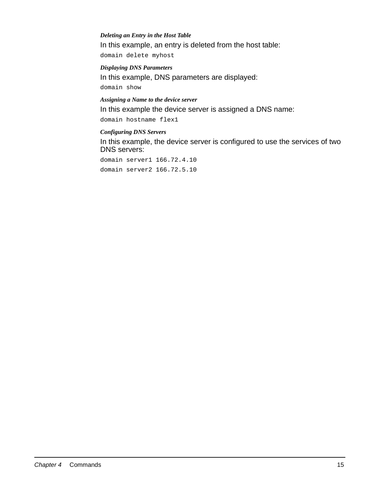#### *Deleting an Entry in the Host Table*

In this example, an entry is deleted from the host table:

domain delete myhost

#### *Displaying DNS Parameters*

In this example, DNS parameters are displayed:

domain show

## *Assigning a Name to the device server*

In this example the device server is assigned a DNS name:

domain hostname flex1

#### *Configuring DNS Servers*

In this example, the device server is configured to use the services of two DNS servers:

domain server1 166.72.4.10 domain server2 166.72.5.10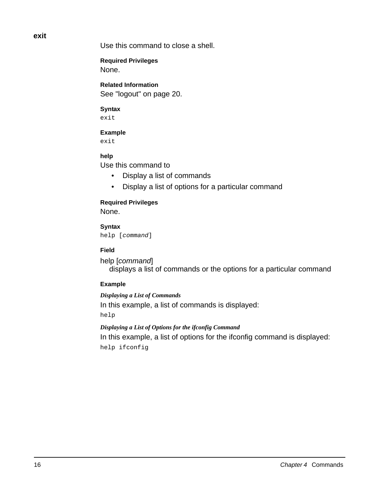**exit**

Use this command to close a shell.

**Required Privileges** None.

**Related Information** See "logout" on page 20.

#### **Syntax**

exit

#### **Example**

exit

#### **help**

Use this command to

- Display a list of commands
- Display a list of options for a particular command

# **Required Privileges**

None.

**Syntax** help [command]

#### **Field**

help [command] displays a list of commands or the options for a particular command

#### **Example**

*Displaying a List of Commands* In this example, a list of commands is displayed: help

*Displaying a List of Options for the ifconfig Command* In this example, a list of options for the ifconfig command is displayed: help ifconfig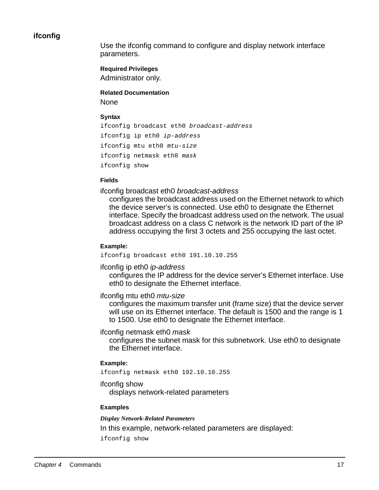#### **ifconfig**

Use the ifconfig command to configure and display network interface parameters.

**Required Privileges**

Administrator only.

**Related Documentation None** 

#### **Syntax**

```
ifconfig broadcast eth0 broadcast-address
ifconfig ip eth0 ip-address
ifconfig mtu eth0 mtu-size
ifconfig netmask eth0 mask 
ifconfig show
```
#### **Fields**

ifconfig broadcast eth0 broadcast-address

configures the broadcast address used on the Ethernet network to which the device server's is connected. Use eth0 to designate the Ethernet interface. Specify the broadcast address used on the network. The usual broadcast address on a class C network is the network ID part of the IP address occupying the first 3 octets and 255 occupying the last octet.

#### **Example:**

ifconfig broadcast eth0 191.10.10.255

ifconfig ip eth0 ip-address

configures the IP address for the device server's Ethernet interface. Use eth0 to designate the Ethernet interface.

#### ifconfig mtu eth0 mtu-size

configures the maximum transfer unit (frame size) that the device server will use on its Ethernet interface. The default is 1500 and the range is 1 to 1500. Use eth0 to designate the Ethernet interface.

#### ifconfig netmask eth0 mask

configures the subnet mask for this subnetwork. Use eth0 to designate the Ethernet interface.

#### **Example:**

ifconfig netmask eth0 192.10.10.255

#### ifconfig show

displays network-related parameters

#### **Examples**

*Display Network-Related Parameters*

In this example, network-related parameters are displayed:

ifconfig show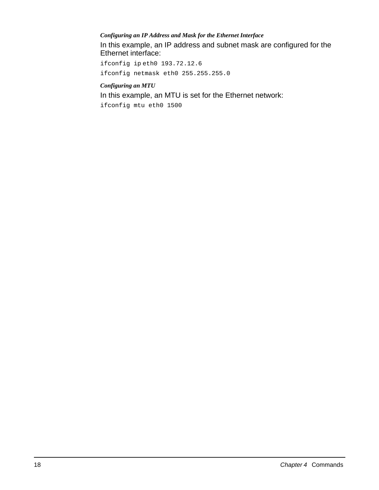#### *Configuring an IP Address and Mask for the Ethernet Interface*

In this example, an IP address and subnet mask are configured for the Ethernet interface:

ifconfig ip eth0 193.72.12.6 ifconfig netmask eth0 255.255.255.0

#### *Configuring an MTU*

In this example, an MTU is set for the Ethernet network:

ifconfig mtu eth0 1500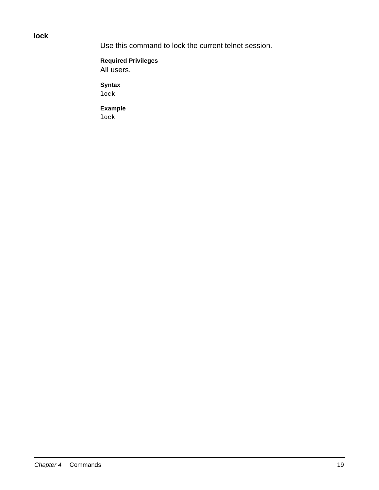**lock**

Use this command to lock the current telnet session.

**Required Privileges** All users.

**Syntax** lock

**Example** lock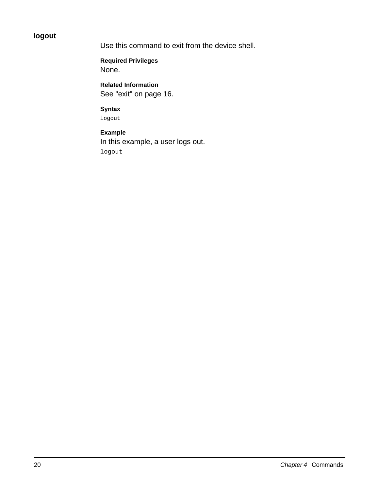# **logout**

Use this command to exit from the device shell.

**Required Privileges** None.

**Related Information** See "exit" on page 16.

#### **Syntax**

logout

# **Example** In this example, a user logs out. logout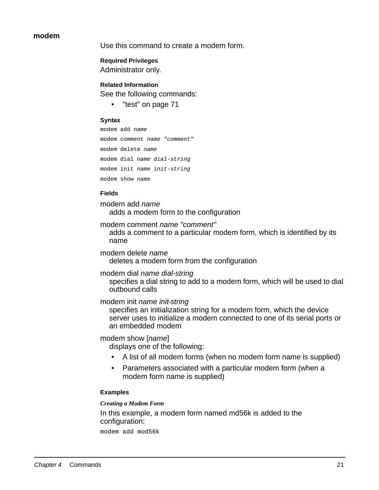#### **modem**

Use this command to create a modem form.

**Required Privileges** Administrator only.

# **Related Information**

See the following commands:

• "test" on page 71

#### **Syntax**

```
modem add name
modem comment name "comment"
modem delete name
modem dial name dial-string
modem init name init-string
modem show name
```
#### **Fields**

modem add name adds a modem form to the configuration

modem comment name "comment"

adds a comment to a particular modem form, which is identified by its name

modem delete name deletes a modem form from the configuration

modem dial name dial-string specifies a dial string to add to a modem form, which will be used to dial

outbound calls

modem init name init-string

specifies an initialization string for a modem form, which the device server uses to initialize a modem connected to one of its serial ports or an embedded modem

#### modem show [name]

displays one of the following:

- A list of all modem forms (when no modem form name is supplied)
- Parameters associated with a particular modem form (when a modem form name is supplied)

#### **Examples**

#### *Creating a Modem Form*

In this example, a modem form named md56k is added to the configuration:

modem add mod56k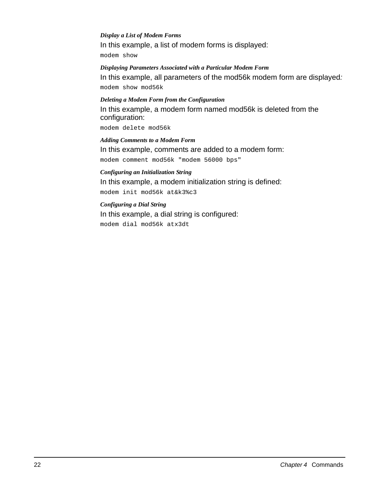#### *Display a List of Modem Forms*

In this example, a list of modem forms is displayed:

modem show

#### *Displaying Parameters Associated with a Particular Modem Form*

In this example, all parameters of the mod56k modem form are displayed: modem show mod56k

#### *Deleting a Modem Form from the Configuration*

In this example, a modem form named mod56k is deleted from the configuration:

modem delete mod56k

#### *Adding Comments to a Modem Form* In this example, comments are added to a modem form:

modem comment mod56k "modem 56000 bps"

#### *Configuring an Initialization String*

In this example, a modem initialization string is defined:

modem init mod56k at&k3%c3

#### *Configuring a Dial String*

In this example, a dial string is configured: modem dial mod56k atx3dt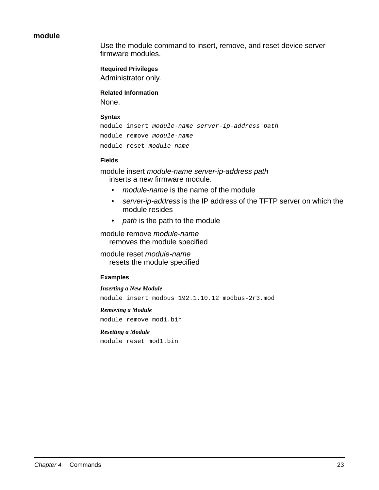#### **module**

Use the module command to insert, remove, and reset device server firmware modules.

#### **Required Privileges**

Administrator only.

## **Related Information**

None.

#### **Syntax**

```
module insert module-name server-ip-address path
module remove module-name
module reset module-name
```
#### **Fields**

module insert module-name server-ip-address path inserts a new firmware module.

- module-name is the name of the module
- server-ip-address is the IP address of the TFTP server on which the module resides
- path is the path to the module

module remove module-name removes the module specified

module reset module-name resets the module specified

#### **Examples**

*Inserting a New Module* module insert modbus 192.1.10.12 modbus-2r3.mod

#### *Removing a Module* module remove mod1.bin

#### *Resetting a Module*

module reset mod1.bin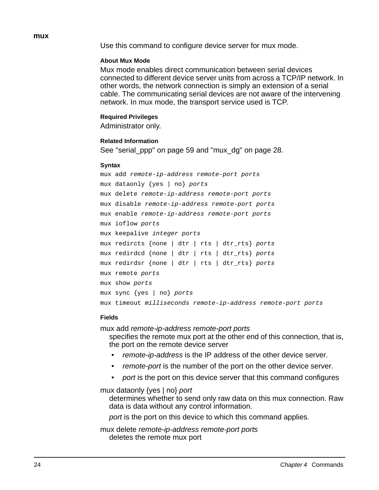#### **mux**

Use this command to configure device server for mux mode.

#### **About Mux Mode**

Mux mode enables direct communication between serial devices connected to different device server units from across a TCP/IP network. In other words, the network connection is simply an extension of a serial cable. The communicating serial devices are not aware of the intervening network. In mux mode, the transport service used is TCP.

#### **Required Privileges**

Administrator only.

#### **Related Information**

See "serial\_ppp" on page 59 and "mux\_dg" on page 28.

#### **Syntax**

```
mux add remote-ip-address remote-port ports
mux dataonly {yes | no} ports
mux delete remote-ip-address remote-port ports
mux disable remote-ip-address remote-port ports
mux enable remote-ip-address remote-port ports
mux ioflow ports
mux keepalive integer ports
mux redircts {none | dtr | rts | dtr_rts} ports
mux redirdcd {none | dtr | rts | dtr_rts} ports 
mux redirdsr {none | dtr | rts | dtr_rts} ports
mux remote ports
mux show ports
mux sync {yes | no} ports
mux timeout milliseconds remote-ip-address remote-port ports
```
#### **Fields**

mux add remote-ip-address remote-port ports specifies the remote mux port at the other end of this connection, that is, the port on the remote device server

- remote-ip-address is the IP address of the other device server.
- *remote-port* is the number of the port on the other device server.
- port is the port on this device server that this command configures

mux dataonly {yes | no} port

determines whether to send only raw data on this mux connection. Raw data is data without any control information.

port is the port on this device to which this command applies.

mux delete remote-ip-address remote-port ports deletes the remote mux port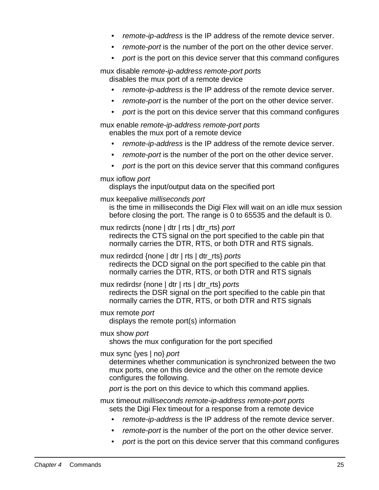- remote-ip-address is the IP address of the remote device server.
- remote-port is the number of the port on the other device server.
- port is the port on this device server that this command configures

mux disable remote-ip-address remote-port ports disables the mux port of a remote device

- remote-ip-address is the IP address of the remote device server.
- *remote-port* is the number of the port on the other device server.
- port is the port on this device server that this command configures

mux enable remote-ip-address remote-port ports enables the mux port of a remote device

- remote-ip-address is the IP address of the remote device server.
- *remote-port* is the number of the port on the other device server.
- port is the port on this device server that this command configures

#### mux ioflow port

displays the input/output data on the specified port

mux keepalive milliseconds port

is the time in milliseconds the Digi Flex will wait on an idle mux session before closing the port. The range is 0 to 65535 and the default is 0.

mux redircts {none | dtr | rts | dtr\_rts} port

redirects the CTS signal on the port specified to the cable pin that normally carries the DTR, RTS, or both DTR and RTS signals.

mux redirdcd {none | dtr | rts | dtr\_rts} ports redirects the DCD signal on the port specified to the cable pin that normally carries the DTR, RTS, or both DTR and RTS signals

mux redirdsr {none | dtr | rts | dtr\_rts} ports

redirects the DSR signal on the port specified to the cable pin that normally carries the DTR, RTS, or both DTR and RTS signals

#### mux remote port

displays the remote port(s) information

mux show port

shows the mux configuration for the port specified

#### mux sync {yes | no} port

determines whether communication is synchronized between the two mux ports, one on this device and the other on the remote device configures the following.

port is the port on this device to which this command applies.

mux timeout milliseconds remote-ip-address remote-port ports sets the Digi Flex timeout for a response from a remote device

- remote-ip-address is the IP address of the remote device server.
- remote-port is the number of the port on the other device server.
- port is the port on this device server that this command configures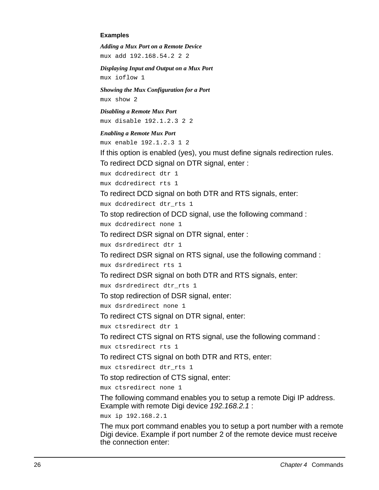#### **Examples**

*Adding a Mux Port on a Remote Device* mux add 192.168.54.2 2 2

*Displaying Input and Output on a Mux Port* mux ioflow 1

*Showing the Mux Configuration for a Port* mux show 2

*Disabling a Remote Mux Port* mux disable 192.1.2.3 2 2

#### *Enabling a Remote Mux Port*

mux enable 192.1.2.3 1 2

If this option is enabled (yes), you must define signals redirection rules. To redirect DCD signal on DTR signal, enter :

mux dcdredirect dtr 1

mux dcdredirect rts 1

To redirect DCD signal on both DTR and RTS signals, enter:

mux dcdredirect dtr\_rts 1

To stop redirection of DCD signal, use the following command :

mux dcdredirect none 1

To redirect DSR signal on DTR signal, enter :

mux dsrdredirect dtr 1

To redirect DSR signal on RTS signal, use the following command :

mux dsrdredirect rts 1

To redirect DSR signal on both DTR and RTS signals, enter:

mux dsrdredirect dtr\_rts 1

To stop redirection of DSR signal, enter:

mux dsrdredirect none 1

To redirect CTS signal on DTR signal, enter:

mux ctsredirect dtr 1

To redirect CTS signal on RTS signal, use the following command :

mux ctsredirect rts 1

To redirect CTS signal on both DTR and RTS, enter:

mux ctsredirect dtr\_rts 1

To stop redirection of CTS signal, enter:

mux ctsredirect none 1

The following command enables you to setup a remote Digi IP address. Example with remote Digi device 192.168.2.1 :

mux ip 192.168.2.1

The mux port command enables you to setup a port number with a remote Digi device. Example if port number 2 of the remote device must receive the connection enter: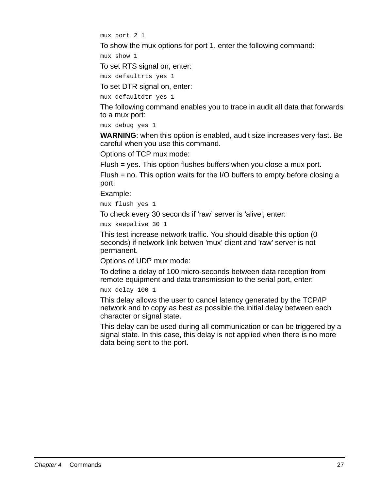mux port 2 1

To show the mux options for port 1, enter the following command:

mux show 1

To set RTS signal on, enter:

mux defaultrts yes 1

To set DTR signal on, enter:

mux defaultdtr yes 1

The following command enables you to trace in audit all data that forwards to a mux port:

mux debug yes 1

**WARNING**: when this option is enabled, audit size increases very fast. Be careful when you use this command.

Options of TCP mux mode:

Flush = yes. This option flushes buffers when you close a mux port.

Flush = no. This option waits for the I/O buffers to empty before closing a port.

Example:

mux flush yes 1

To check every 30 seconds if 'raw' server is 'alive', enter:

mux keepalive 30 1

This test increase network traffic. You should disable this option (0 seconds) if network link betwen 'mux' client and 'raw' server is not permanent.

Options of UDP mux mode:

To define a delay of 100 micro-seconds between data reception from remote equipment and data transmission to the serial port, enter:

mux delay 100 1

This delay allows the user to cancel latency generated by the TCP/IP network and to copy as best as possible the initial delay between each character or signal state.

This delay can be used during all communication or can be triggered by a signal state. In this case, this delay is not applied when there is no more data being sent to the port.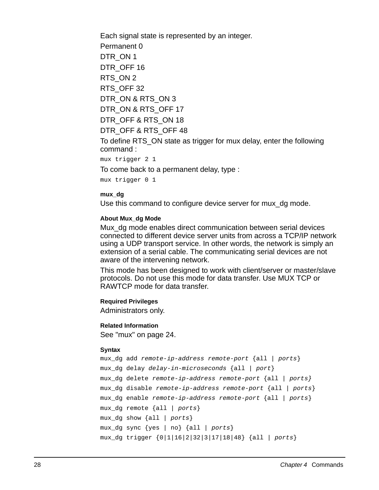Each signal state is represented by an integer. Permanent 0 DTR\_ON 1 DTR OFF 16 RTS\_ON 2 RTS\_OFF 32 DTR\_ON & RTS\_ON 3 DTR\_ON & RTS\_OFF 17 DTR\_OFF & RTS\_ON 18 DTR\_OFF & RTS\_OFF 48 To define RTS\_ON state as trigger for mux delay, enter the following command :

mux trigger 2 1

To come back to a permanent delay, type :

mux trigger 0 1

#### **mux\_dg**

Use this command to configure device server for mux\_dg mode.

#### **About Mux\_dg Mode**

Mux dg mode enables direct communication between serial devices connected to different device server units from across a TCP/IP network using a UDP transport service. In other words, the network is simply an extension of a serial cable. The communicating serial devices are not aware of the intervening network.

This mode has been designed to work with client/server or master/slave protocols. Do not use this mode for data transfer. Use MUX TCP or RAWTCP mode for data transfer.

#### **Required Privileges**

Administrators only.

#### **Related Information**

See "mux" on page 24.

#### **Syntax**

```
mux dq add remote-ip-address remote-port \{all | points\}mux dq delay delay-in-microseconds {all | port}
mux_dg delete remote-ip-address remote-port {all | ports}
mux_dg disable remote-ip-address remote-port {all | ports}
mux_dg enable remote-ip-address remote-port {all | ports}
mux_dg remote {all | ports}
mux_dg show {all | ports}
mux_dg sync {yes | no} {all | ports}
mux_dg trigger {0|1|16|2|32|3|17|18|48} {all | ports}
```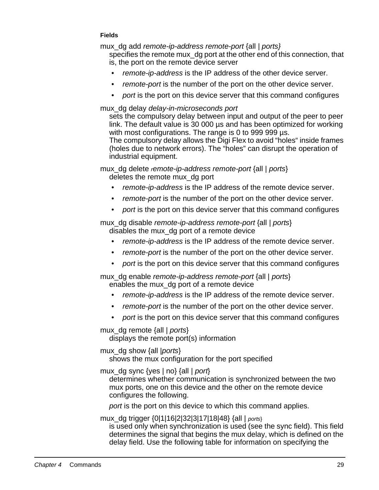#### **Fields**

mux\_dg add remote-ip-address remote-port {all | ports}

specifies the remote mux dg port at the other end of this connection, that is, the port on the remote device server

- remote-ip-address is the IP address of the other device server.
- *remote-port* is the number of the port on the other device server.
- port is the port on this device server that this command configures

#### mux\_dg delay delay-in-microseconds port

sets the compulsory delay between input and output of the peer to peer link. The default value is 30 000 µs and has been optimized for working with most configurations. The range is 0 to 999 999 us.

The compulsory delay allows the Digi Flex to avoid "holes" inside frames (holes due to network errors). The "holes" can disrupt the operation of industrial equipment.

mux\_dg delete remote-ip-address remote-port {all | ports}

deletes the remote mux\_dg port

- remote-ip-address is the IP address of the remote device server.
- remote-port is the number of the port on the other device server.
- port is the port on this device server that this command configures

mux dg disable remote-ip-address remote-port {all | ports} disables the mux\_dg port of a remote device

- remote-ip-address is the IP address of the remote device server.
- remote-port is the number of the port on the other device server.
- port is the port on this device server that this command configures

mux dg enable remote-ip-address remote-port {all | ports} enables the mux\_dg port of a remote device

- remote-ip-address is the IP address of the remote device server.
- remote-port is the number of the port on the other device server.
- port is the port on this device server that this command configures

mux dg remote {all | ports}

displays the remote port(s) information

mux dg show {all | ports}

shows the mux configuration for the port specified

mux dg sync {yes  $|$  no} {all  $|$  port}

determines whether communication is synchronized between the two mux ports, one on this device and the other on the remote device configures the following.

port is the port on this device to which this command applies.

mux\_dg trigger {0|1|16|2|32|3|17|18|48} {all | ports}

is used only when synchronization is used (see the sync field). This field determines the signal that begins the mux delay, which is defined on the delay field. Use the following table for information on specifying the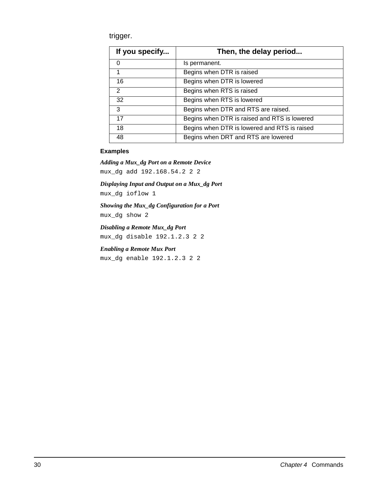trigger.

| If you specify | Then, the delay period                       |
|----------------|----------------------------------------------|
| 0              | Is permanent.                                |
|                | Begins when DTR is raised                    |
| 16             | Begins when DTR is lowered                   |
| 2              | Begins when RTS is raised                    |
| 32             | Begins when RTS is lowered                   |
| 3              | Begins when DTR and RTS are raised.          |
| 17             | Begins when DTR is raised and RTS is lowered |
| 18             | Begins when DTR is lowered and RTS is raised |
| 48             | Begins when DRT and RTS are lowered          |

#### **Examples**

*Adding a Mux\_dg Port on a Remote Device* mux\_dg add 192.168.54.2 2 2

*Displaying Input and Output on a Mux\_dg Port* mux\_dg ioflow 1

*Showing the Mux\_dg Configuration for a Port* mux\_dg show 2

*Disabling a Remote Mux\_dg Port* mux\_dg disable 192.1.2.3 2 2

*Enabling a Remote Mux Port* mux\_dg enable 192.1.2.3 2 2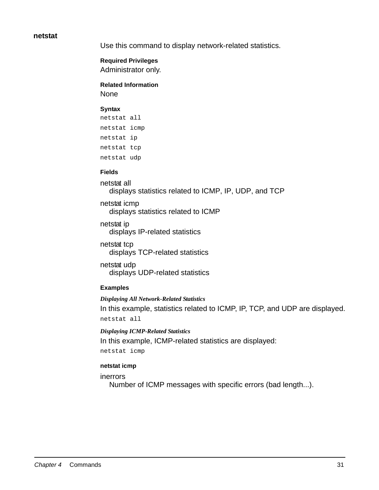#### **netstat**

Use this command to display network-related statistics.

**Required Privileges** Administrator only.

**Related Information** None

#### **Syntax**

```
netstat all
netstat icmp
netstat ip
netstat tcp
netstat udp
```
#### **Fields**

netstat all displays statistics related to ICMP, IP, UDP, and TCP

netstat icmp displays statistics related to ICMP

netstat ip displays IP-related statistics

- netstat tcp displays TCP-related statistics
- netstat udp displays UDP-related statistics

#### **Examples**

#### *Displaying All Network-Related Statistics*

In this example, statistics related to ICMP, IP, TCP, and UDP are displayed. netstat all

#### *Displaying ICMP-Related Statistics*

In this example, ICMP-related statistics are displayed:

netstat icmp

#### **netstat icmp**

inerrors

Number of ICMP messages with specific errors (bad length...).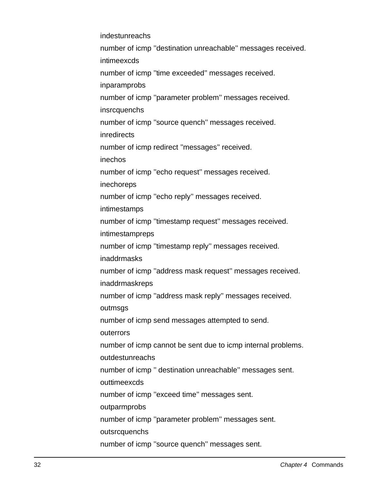indestunreachs number of icmp ''destination unreachable'' messages received. intimeexcds number of icmp ''time exceeded'' messages received. inparamprobs number of icmp ''parameter problem'' messages received. insrcquenchs number of icmp ''source quench'' messages received. inredirects number of icmp redirect ''messages'' received. inechos number of icmp ''echo request'' messages received. inechoreps number of icmp ''echo reply'' messages received. intimestamps number of icmp ''timestamp request'' messages received. intimestampreps number of icmp ''timestamp reply'' messages received. inaddrmasks number of icmp ''address mask request'' messages received. inaddrmaskreps number of icmp ''address mask reply'' messages received. outmsgs number of icmp send messages attempted to send. outerrors number of icmp cannot be sent due to icmp internal problems. outdestunreachs number of icmp '' destination unreachable'' messages sent. outtimeexcds number of icmp ''exceed time'' messages sent. outparmprobs number of icmp ''parameter problem'' messages sent. outsrcquenchs number of icmp ''source quench'' messages sent.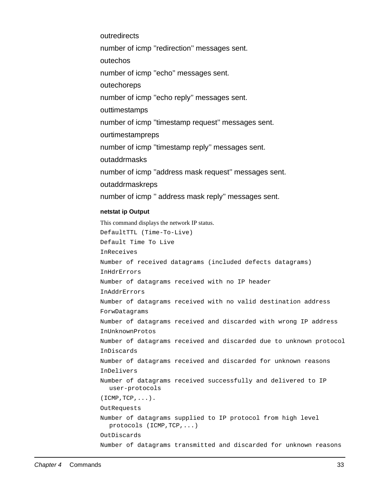outredirects number of icmp ''redirection'' messages sent. outechos number of icmp ''echo'' messages sent. outechoreps number of icmp ''echo reply'' messages sent. outtimestamps number of icmp ''timestamp request'' messages sent. ourtimestampreps number of icmp ''timestamp reply'' messages sent. outaddrmasks number of icmp ''address mask request'' messages sent. outaddrmaskreps number of icmp '' address mask reply'' messages sent.

#### **netstat ip Output**

This command displays the network IP status. DefaultTTL (Time-To-Live) Default Time To Live InReceives Number of received datagrams (included defects datagrams) InHdrErrors Number of datagrams received with no IP header InAddrErrors Number of datagrams received with no valid destination address ForwDatagrams Number of datagrams received and discarded with wrong IP address InUnknownProtos Number of datagrams received and discarded due to unknown protocol InDiscards Number of datagrams received and discarded for unknown reasons InDelivers Number of datagrams received successfully and delivered to IP user-protocols  $(ICMP, TCP, \ldots).$ OutRequests Number of datagrams supplied to IP protocol from high level protocols (ICMP,TCP,...) OutDiscards Number of datagrams transmitted and discarded for unknown reasons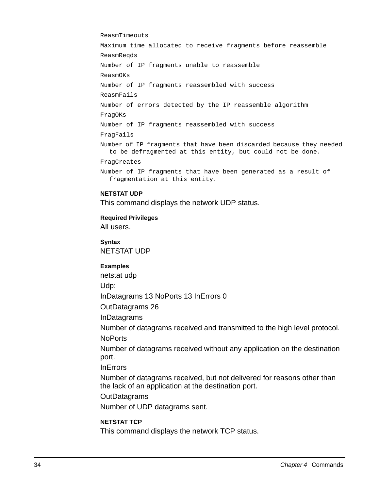ReasmTimeouts

Maximum time allocated to receive fragments before reassemble ReasmReqds Number of IP fragments unable to reassemble ReasmOKs Number of IP fragments reassembled with success ReasmFails Number of errors detected by the IP reassemble algorithm FragOKs Number of IP fragments reassembled with success FragFails Number of IP fragments that have been discarded because they needed to be defragmented at this entity, but could not be done. FragCreates Number of IP fragments that have been generated as a result of

#### **NETSTAT UDP**

This command displays the network UDP status.

**Required Privileges** All users.

**Syntax** NETSTAT UDP

#### **Examples**

netstat udp Udp:

fragmentation at this entity.

InDatagrams 13 NoPorts 13 InErrors 0

OutDatagrams 26

InDatagrams

Number of datagrams received and transmitted to the high level protocol.

**NoPorts** 

Number of datagrams received without any application on the destination port.

**InErrors** 

Number of datagrams received, but not delivered for reasons other than the lack of an application at the destination port.

**OutDatagrams** 

Number of UDP datagrams sent.

#### **NETSTAT TCP**

This command displays the network TCP status.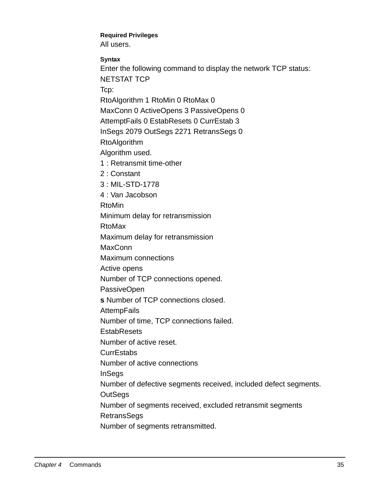# **Required Privileges**

All users.

**Syntax**

Enter the following command to display the network TCP status: NETSTAT TCP

Tcp:

RtoAlgorithm 1 RtoMin 0 RtoMax 0

MaxConn 0 ActiveOpens 3 PassiveOpens 0

AttemptFails 0 EstabResets 0 CurrEstab 3

InSegs 2079 OutSegs 2271 RetransSegs 0

RtoAlgorithm

Algorithm used.

1 : Retransmit time-other

2 : Constant

3 : MIL-STD-1778

4 : Van Jacobson

RtoMin

Minimum delay for retransmission

RtoMax

Maximum delay for retransmission

**MaxConn** 

Maximum connections

Active opens

Number of TCP connections opened.

PassiveOpen

**s** Number of TCP connections closed.

**AttempFails** 

Number of time, TCP connections failed.

**EstabResets** 

Number of active reset.

**CurrEstabs** 

Number of active connections

InSegs

Number of defective segments received, included defect segments.

**OutSegs** 

Number of segments received, excluded retransmit segments **RetransSegs** 

Number of segments retransmitted.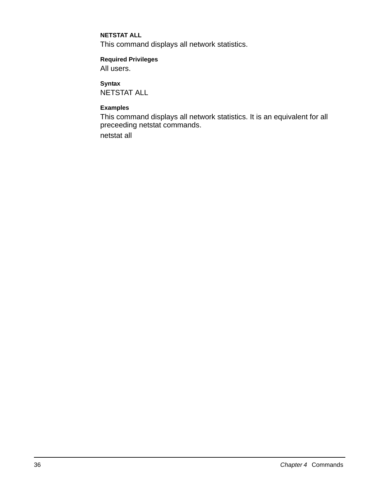#### **NETSTAT ALL**

This command displays all network statistics.

### **Required Privileges**

All users.

**Syntax** NETSTAT ALL

#### **Examples**

This command displays all network statistics. It is an equivalent for all preceeding netstat commands.

netstat all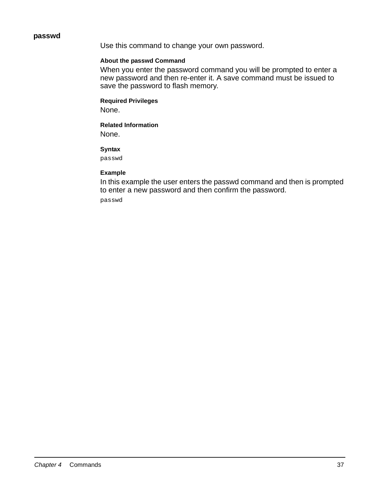### **passwd**

Use this command to change your own password.

### **About the passwd Command**

When you enter the password command you will be prompted to enter a new password and then re-enter it. A save command must be issued to save the password to flash memory.

# **Required Privileges**

None.

# **Related Information**

None.

### **Syntax**

passwd

### **Example**

In this example the user enters the passwd command and then is prompted to enter a new password and then confirm the password.

passwd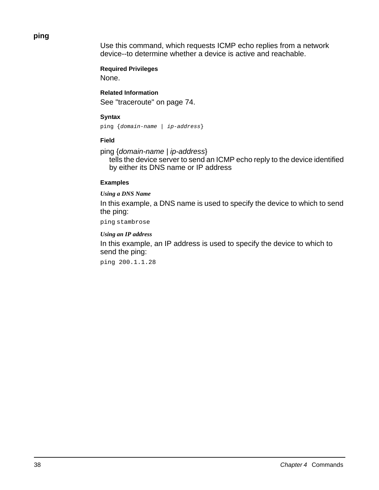# **ping**

Use this command, which requests ICMP echo replies from a network device--to determine whether a device is active and reachable.

**Required Privileges** None.

**Related Information** See "traceroute" on page 74.

## **Syntax**

ping {domain-name | ip-address}

### **Field**

ping {domain-name | ip-address}

tells the device server to send an ICMP echo reply to the device identified by either its DNS name or IP address

### **Examples**

### *Using a DNS Name*

In this example, a DNS name is used to specify the device to which to send the ping:

ping stambrose

### *Using an IP address*

In this example, an IP address is used to specify the device to which to send the ping:

ping 200.1.1.28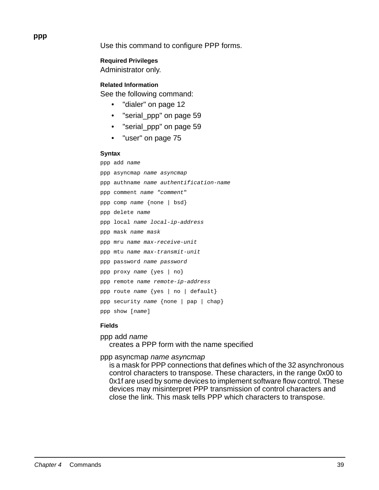Use this command to configure PPP forms.

**Required Privileges**

Administrator only.

**Related Information**

See the following command:

- "dialer" on page 12
- "serial\_ppp" on page 59
- "serial\_ppp" on page 59
- "user" on page 75

#### **Syntax**

```
ppp add name
ppp asyncmap name asyncmap
ppp authname name authentification-name
ppp comment name "comment"
ppp comp name {none | bsd}
ppp delete name
ppp local name local-ip-address
ppp mask name mask 
ppp mru name max-receive-unit
ppp mtu name max-transmit-unit
ppp password name password 
ppp proxy name {yes | no}
ppp remote name remote-ip-address
ppp route name {yes | no | default}
ppp security name {none | pap | chap}
ppp show [name]
```
### **Fields**

ppp add name creates a PPP form with the name specified

ppp asyncmap name asyncmap

is a mask for PPP connections that defines which of the 32 asynchronous control characters to transpose. These characters, in the range 0x00 to 0x1f are used by some devices to implement software flow control. These devices may misinterpret PPP transmission of control characters and close the link. This mask tells PPP which characters to transpose.

**ppp**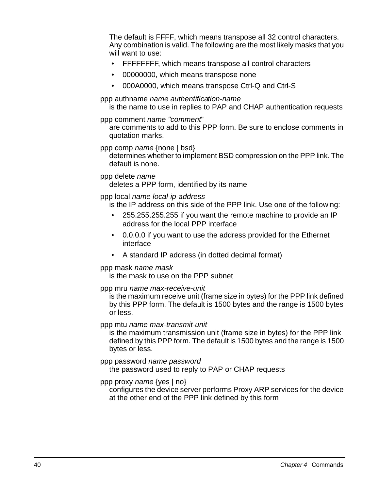The default is FFFF, which means transpose all 32 control characters. Any combination is valid. The following are the most likely masks that you will want to use:

- FFFFFFFF, which means transpose all control characters
- 00000000, which means transpose none
- 000A0000, which means transpose Ctrl-Q and Ctrl-S

ppp authname name authentification-name

is the name to use in replies to PAP and CHAP authentication requests

ppp comment name "comment"

are comments to add to this PPP form. Be sure to enclose comments in quotation marks.

ppp comp name {none | bsd}

determines whether to implement BSD compression on the PPP link. The default is none.

### ppp delete name

deletes a PPP form, identified by its name

# ppp local name local-ip-address

is the IP address on this side of the PPP link. Use one of the following:

- 255.255.255.255 if you want the remote machine to provide an IP address for the local PPP interface
- 0.0.0.0 if you want to use the address provided for the Ethernet interface
- A standard IP address (in dotted decimal format)

# ppp mask name mask

is the mask to use on the PPP subnet

# ppp mru name max-receive-unit

is the maximum receive unit (frame size in bytes) for the PPP link defined by this PPP form. The default is 1500 bytes and the range is 1500 bytes or less.

# ppp mtu name max-transmit-unit

is the maximum transmission unit (frame size in bytes) for the PPP link defined by this PPP form. The default is 1500 bytes and the range is 1500 bytes or less.

# ppp password name password

the password used to reply to PAP or CHAP requests

# ppp proxy name {yes | no}

configures the device server performs Proxy ARP services for the device at the other end of the PPP link defined by this form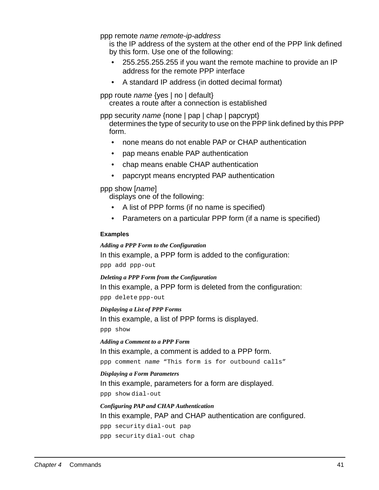ppp remote name remote-ip-address

is the IP address of the system at the other end of the PPP link defined by this form. Use one of the following:

- 255.255.255.255 if you want the remote machine to provide an IP address for the remote PPP interface
- A standard IP address (in dotted decimal format)

ppp route name {yes | no | default} creates a route after a connection is established

ppp security name {none | pap | chap | papcrypt}

determines the type of security to use on the PPP link defined by this PPP form.

- none means do not enable PAP or CHAP authentication
- pap means enable PAP authentication
- chap means enable CHAP authentication
- papcrypt means encrypted PAP authentication

ppp show [name]

displays one of the following:

- A list of PPP forms (if no name is specified)
- Parameters on a particular PPP form (if a name is specified)

#### **Examples**

#### *Adding a PPP Form to the Configuration*

In this example, a PPP form is added to the configuration:

ppp add ppp-out

*Deleting a PPP Form from the Configuration*

In this example, a PPP form is deleted from the configuration:

ppp delete ppp-out

*Displaying a List of PPP Forms*

In this example, a list of PPP forms is displayed.

ppp show

*Adding a Comment to a PPP Form*

In this example, a comment is added to a PPP form.

ppp comment name "This form is for outbound calls"

#### *Displaying a Form Parameters*

In this example, parameters for a form are displayed.

ppp show dial-out

# *Configuring PAP and CHAP Authentication* In this example, PAP and CHAP authentication are configured.

ppp security dial-out pap

ppp security dial-out chap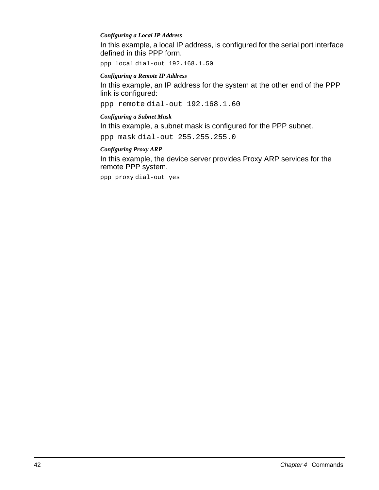### *Configuring a Local IP Address*

In this example, a local IP address, is configured for the serial port interface defined in this PPP form.

ppp local dial-out 192.168.1.50

### *Configuring a Remote IP Address*

In this example, an IP address for the system at the other end of the PPP link is configured:

ppp remote dial-out 192.168.1.60

### *Configuring a Subnet Mask*

In this example, a subnet mask is configured for the PPP subnet.

ppp mask dial-out 255.255.255.0

# *Configuring Proxy ARP*

In this example, the device server provides Proxy ARP services for the remote PPP system.

ppp proxy dial-out yes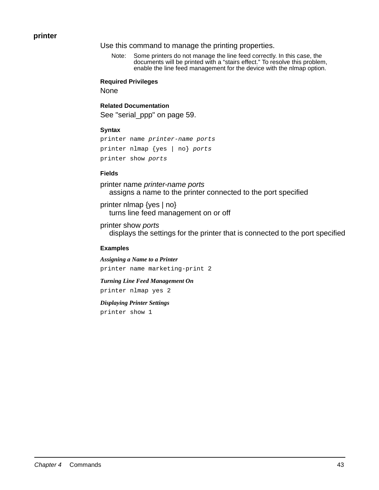## **printer**

Use this command to manage the printing properties.

Note: Some printers do not manage the line feed correctly. In this case, the documents will be printed with a "stairs effect." To resolve this problem, enable the line feed management for the device with the nlmap option.

#### **Required Privileges**

None

### **Related Documentation**

See "serial\_ppp" on page 59.

#### **Syntax**

```
printer name printer-name ports
printer nlmap {yes | no} ports
printer show ports
```
#### **Fields**

printer name printer-name ports assigns a name to the printer connected to the port specified

printer nlmap {yes | no} turns line feed management on or off

printer show ports displays the settings for the printer that is connected to the port specified

#### **Examples**

*Assigning a Name to a Printer* printer name marketing-print 2

*Turning Line Feed Management On*

printer nlmap yes 2

#### *Displaying Printer Settings*

printer show 1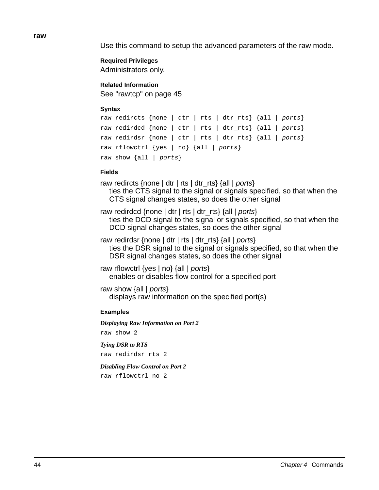**raw**

Use this command to setup the advanced parameters of the raw mode.

# **Required Privileges**

Administrators only.

## **Related Information**

See "rawtcp" on page 45

### **Syntax**

```
raw redircts {none | dtr | rts | dtr_rts} {all | ports}
raw redirdcd {none | dtr | rts | dtr_rts} {all | ports}
raw redirdsr {none | dtr | rts | dtr_rts} {all | ports}
raw rflowctrl {yes | no} {all | ports}
raw show \{all \mid ports\}
```
### **Fields**

raw redircts {none | dtr | rts | dtr\_rts} {all | ports} ties the CTS signal to the signal or signals specified, so that when the CTS signal changes states, so does the other signal

raw redirdcd {none | dtr | rts | dtr\_rts} {all | ports} ties the DCD signal to the signal or signals specified, so that when the DCD signal changes states, so does the other signal

raw redirdsr {none | dtr | rts | dtr\_rts} {all | ports} ties the DSR signal to the signal or signals specified, so that when the DSR signal changes states, so does the other signal

raw rflowctrl {yes | no} {all | ports} enables or disables flow control for a specified port

raw show {all | ports} displays raw information on the specified port(s)

# **Examples**

*Displaying Raw Information on Port 2* raw show 2

*Tying DSR to RTS*

raw redirdsr rts 2

### *Disabling Flow Control on Port 2*

raw rflowctrl no 2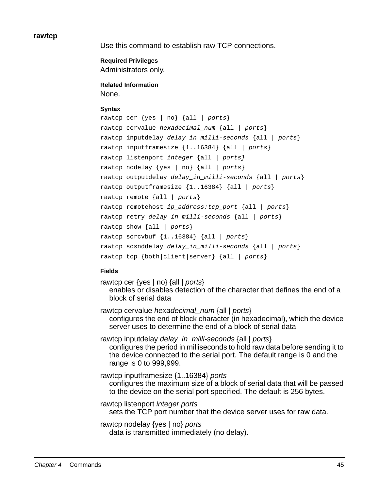#### **rawtcp**

Use this command to establish raw TCP connections.

**Required Privileges** Administrators only.

**Related Information** None.

### **Syntax**

```
rawtcp cer {yes | no} {all | ports}
rawtcp cervalue hexadecimal_num {all | ports}
rawtcp inputdelay delay_in_milli-seconds {all | ports}
rawtcp inputframesize {1..16384} {all | ports}
rawtcp listenport integer {all | ports}
rawtcp nodelay {yes | no} {all | ports}
rawtcp outputdelay delay_in_milli-seconds {all | ports}
rawtcp outputframesize {1..16384} {all | ports}
rawtcp remote {all | ports}
rawtcp remotehost ip_address:tcp_port {all | ports}
rawtcp retry delay_in_milli-seconds {all | ports}
rawtcp show {all | ports}
rawtcp sorcybuf \{1..16384\} \{all \mid ports\}rawtcp sosnddelay delay_in_milli-seconds {all | ports}
rawtcp tcp {both|client|server} {all | ports}
```
### **Fields**

rawtcp cer {yes | no} {all | ports} enables or disables detection of the character that defines the end of a block of serial data

rawtcp cervalue *hexadecimal\_num* {all | ports} configures the end of block character (in hexadecimal), which the device server uses to determine the end of a block of serial data

rawtcp inputdelay delay in milli-seconds {all | ports} configures the period in milliseconds to hold raw data before sending it to the device connected to the serial port. The default range is 0 and the range is 0 to 999,999.

rawtcp inputframesize {1..16384} ports configures the maximum size of a block of serial data that will be passed to the device on the serial port specified. The default is 256 bytes.

rawtcp listenport integer ports sets the TCP port number that the device server uses for raw data.

rawtcp nodelay {yes | no} ports data is transmitted immediately (no delay).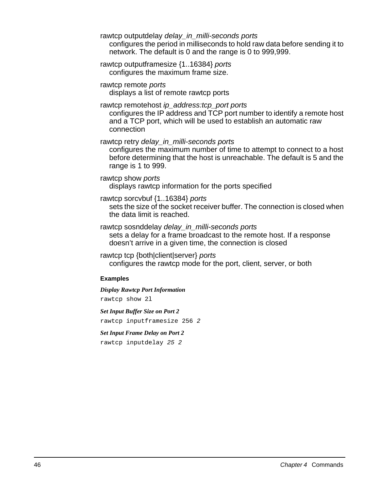rawtcp outputdelay delay\_in\_milli-seconds ports

configures the period in milliseconds to hold raw data before sending it to network. The default is 0 and the range is 0 to 999,999.

rawtcp outputframesize {1..16384} ports configures the maximum frame size.

rawtcp remote ports displays a list of remote rawtcp ports

rawtcp remotehost ip\_address:tcp\_port ports

configures the IP address and TCP port number to identify a remote host and a TCP port, which will be used to establish an automatic raw connection

rawtcp retry delay in milli-seconds ports

configures the maximum number of time to attempt to connect to a host before determining that the host is unreachable. The default is 5 and the range is 1 to 999.

rawtcp show ports displays rawtcp information for the ports specified

rawtcp sorcvbuf {1..16384} ports

sets the size of the socket receiver buffer. The connection is closed when the data limit is reached.

rawtcp sosnddelay delay\_in\_milli-seconds ports sets a delay for a frame broadcast to the remote host. If a response doesn't arrive in a given time, the connection is closed

rawtcp tcp {both|client|server} ports configures the rawtcp mode for the port, client, server, or both

# **Examples**

*Display Rawtcp Port Information* rawtcp show 2l

*Set Input Buffer Size on Port 2* rawtcp inputframesize 256 2

*Set Input Frame Delay on Port 2*

rawtcp inputdelay 25 2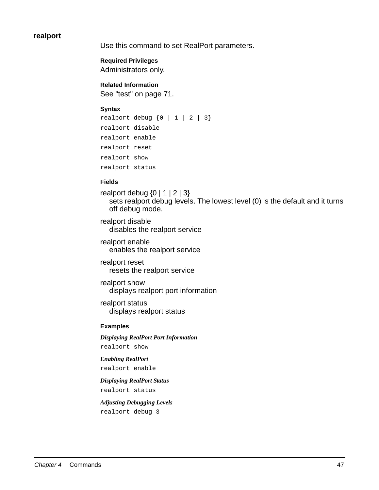# **realport**

Use this command to set RealPort parameters.

**Required Privileges** Administrators only.

**Related Information** See "test" on page 71.

#### **Syntax**

```
realport debug \{0 \mid 1 \mid 2 \mid 3\}realport disable
realport enable
realport reset
realport show
realport status
```
### **Fields**

realport debug  $\{0 \mid 1 \mid 2 \mid 3\}$ sets realport debug levels. The lowest level (0) is the default and it turns off debug mode.

realport disable disables the realport service

realport enable enables the realport service

realport reset resets the realport service

realport show displays realport port information

realport status displays realport status

#### **Examples**

*Displaying RealPort Port Information* realport show

*Enabling RealPort*

realport enable

*Displaying RealPort Status* realport status

*Adjusting Debugging Levels* realport debug 3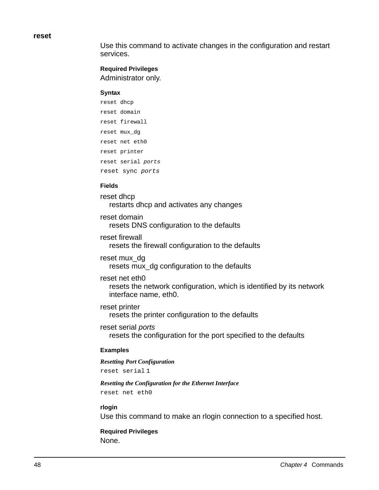#### **reset**

Use this command to activate changes in the configuration and restart services.

# **Required Privileges**

Administrator only.

#### **Syntax**

```
reset dhcp
reset domain
reset firewall
reset mux_dg
reset net eth0
reset printer
reset serial ports
reset sync ports
```
### **Fields**

reset dhcp restarts dhcp and activates any changes

reset domain resets DNS configuration to the defaults

reset firewall resets the firewall configuration to the defaults

reset mux\_dg resets mux\_dg configuration to the defaults

### reset net eth0

resets the network configuration, which is identified by its network interface name, eth0.

reset printer resets the printer configuration to the defaults

reset serial ports resets the configuration for the port specified to the defaults

### **Examples**

#### *Resetting Port Configuration*

reset serial 1

# *Resetting the Configuration for the Ethernet Interface*

reset net eth0

### **rlogin**

Use this command to make an rlogin connection to a specified host.

**Required Privileges** None.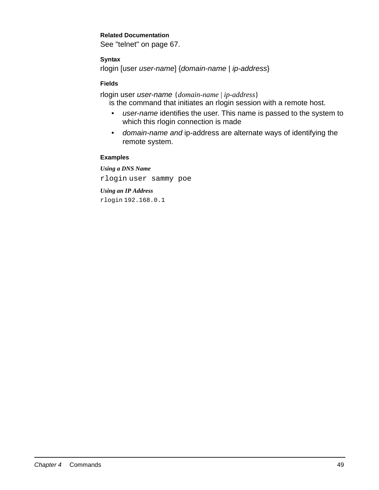# **Related Documentation**

See "telnet" on page 67.

# **Syntax**

rlogin [user user-name] {domain-name | ip-address}

## **Fields**

rlogin user user-name {*domain-name* | *ip-address*}

is the command that initiates an rlogin session with a remote host.

- user-name identifies the user. This name is passed to the system to which this rlogin connection is made
- domain-name and ip-address are alternate ways of identifying the remote system.

### **Examples**

*Using a DNS Name* rlogin user sammy poe

### *Using an IP Address*

rlogin 192.168.0.1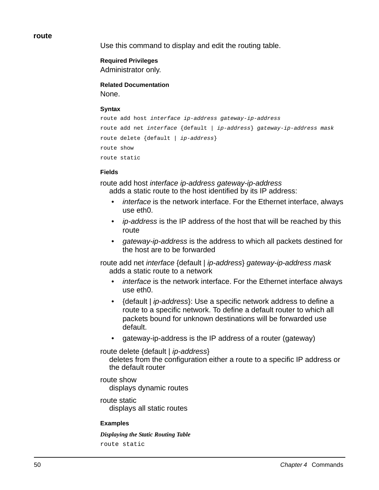#### **route**

Use this command to display and edit the routing table.

### **Required Privileges**

Administrator only.

# **Related Documentation**

None.

### **Syntax**

```
route add host interface ip-address gateway-ip-address
route add net interface {default | ip-address} gateway-ip-address mask
route delete {default | ip-address}
route show
route static
```
### **Fields**

route add host interface ip-address gateway-ip-address adds a static route to the host identified by its IP address:

- *interface* is the network interface. For the Ethernet interface, always use eth0.
- *ip-address* is the IP address of the host that will be reached by this route
- gateway-ip-address is the address to which all packets destined for the host are to be forwarded

route add net interface {default | ip-address} gateway-ip-address mask adds a static route to a network

- interface is the network interface. For the Ethernet interface always use eth0.
- {default | *ip-address*}: Use a specific network address to define a route to a specific network. To define a default router to which all packets bound for unknown destinations will be forwarded use default.
- gateway-ip-address is the IP address of a router (gateway)

route delete {default | ip-address}

deletes from the configuration either a route to a specific IP address or the default router

route show displays dynamic routes

route static displays all static routes

# **Examples**

*Displaying the Static Routing Table* route static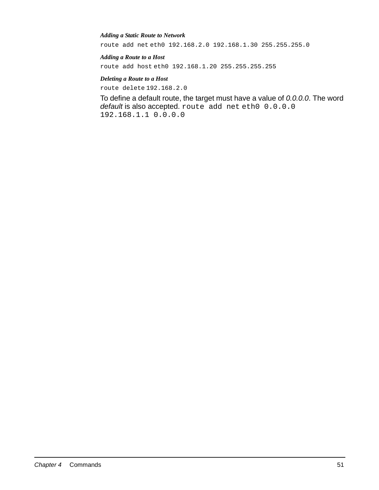#### *Adding a Static Route to Network*

route add net eth0 192.168.2.0 192.168.1.30 255.255.255.0

#### *Adding a Route to a Host*

route add host eth0 192.168.1.20 255.255.255.255

### *Deleting a Route to a Host*

route delete 192.168.2.0

To define a default route, the target must have a value of 0.0.0.0. The word default is also accepted. route add net eth0 0.0.0.0 192.168.1.1 0.0.0.0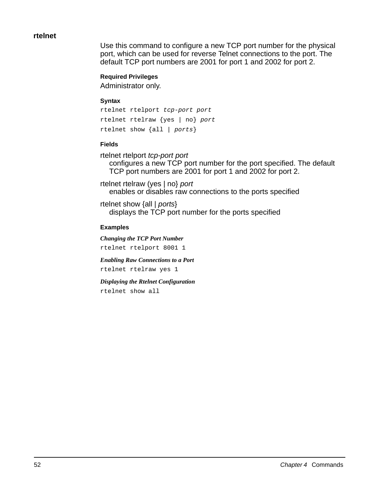## **rtelnet**

Use this command to configure a new TCP port number for the physical port, which can be used for reverse Telnet connections to the port. The default TCP port numbers are 2001 for port 1 and 2002 for port 2.

### **Required Privileges**

Administrator only.

#### **Syntax**

rtelnet rtelport tcp-port port rtelnet rtelraw {yes | no} port rtelnet show {all | ports}

### **Fields**

rtelnet rtelport tcp-port port

configures a new TCP port number for the port specified. The default TCP port numbers are 2001 for port 1 and 2002 for port 2.

rtelnet rtelraw (yes | no} port enables or disables raw connections to the ports specified

rtelnet show {all | ports} displays the TCP port number for the ports specified

#### **Examples**

*Changing the TCP Port Number* rtelnet rtelport 8001 1

*Enabling Raw Connections to a Port* rtelnet rtelraw yes 1

*Displaying the Rtelnet Configuration* rtelnet show all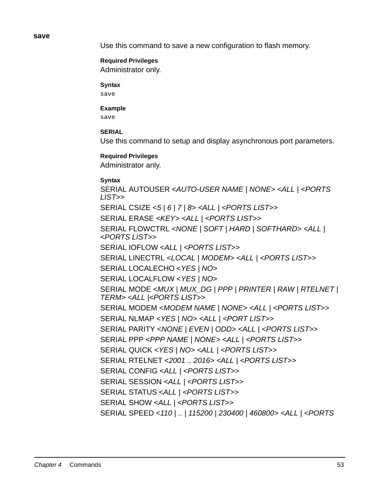#### **save**

Use this command to save a new configuration to flash memory.

# **Required Privileges**

Administrator only.

## **Syntax**

save

# **Example**

save

# **SERIAL**

Use this command to setup and display asynchronous port parameters.

# **Required Privileges**

Administrator anly.

# **Syntax**

SERIAL AUTOUSER <AUTO-USER NAME | NONE> <ALL | <PORTS LIST>> SERIAL CSIZE <5 | 6 | 7 | 8> <ALL | <PORTS LIST>> SERIAL ERASE <KEY> <ALL | <PORTS LIST>> SERIAL FLOWCTRL <NONE | SOFT | HARD | SOFTHARD> <ALL | <PORTS LIST>> SERIAL IOFLOW <ALL | <PORTS LIST>> SERIAL LINECTRL <LOCAL | MODEM> <ALL | <PORTS LIST>> SERIAL LOCALECHO <YES | NO> SERIAL LOCALFLOW <YES | NO> SERIAL MODE < MUX | MUX DG | PPP | PRINTER | RAW | RTELNET | TERM> <ALL |<PORTS LIST>> SERIAL MODEM <MODEM NAME | NONE> <ALL | <PORTS LIST>> SERIAL NLMAP <YES | NO> <ALL | <PORT LIST>> SERIAL PARITY <NONE | EVEN | ODD> <ALL | <PORTS LIST>> SERIAL PPP <PPP NAME | NONE> <ALL | <PORTS LIST>> SERIAL QUICK <YES | NO> <ALL | <PORTS LIST>> SERIAL RTELNET <2001 .. 2016> <ALL | <PORTS LIST>> SERIAL CONFIG <ALL | <PORTS LIST>> SERIAL SESSION <ALL | <PORTS LIST>> SERIAL STATUS <ALL | <PORTS LIST>> SERIAL SHOW <ALL | <PORTS LIST>> SERIAL SPEED <110 | .. | 115200 | 230400 | 460800> <ALL | <PORTS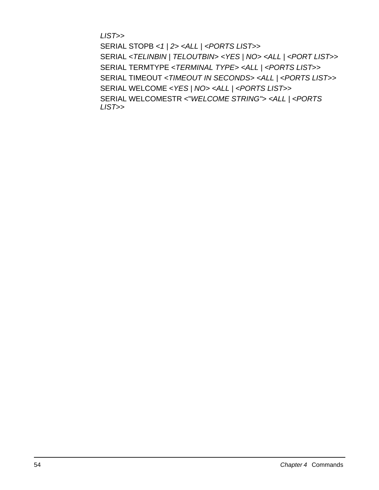LIST>>

SERIAL STOPB <1 | 2> <ALL | <PORTS LIST>> SERIAL <TELINBIN | TELOUTBIN> <YES | NO> <ALL | <PORT LIST>> SERIAL TERMTYPE <TERMINAL TYPE> <ALL | <PORTS LIST>> SERIAL TIMEOUT <TIMEOUT IN SECONDS> <ALL | <PORTS LIST>> SERIAL WELCOME <YES | NO> <ALL | <PORTS LIST>> SERIAL WELCOMESTR <"WELCOME STRING"> <ALL | <PORTS LIST>>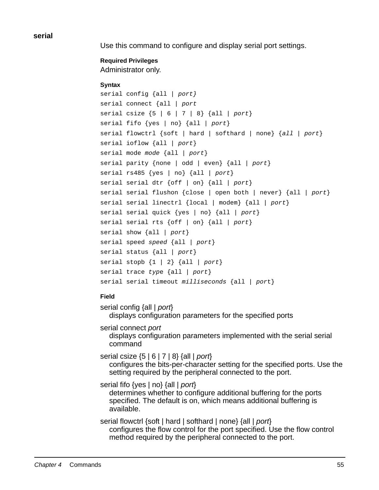**serial** 

Use this command to configure and display serial port settings.

# **Required Privileges**

Administrator only.

# **Syntax**

```
serial config {all | port}
serial connect {all | port
serial csize \{5 \mid 6 \mid 7 \mid 8\} \{all \mid port\}serial fifo \{yes \mid no\} \{all \mid port\}serial flowctrl {soft | hard | softhard | none} {all | port}
serial ioflow {all | port}
serial mode mode {all | port}
serial parity {none | odd | even} {all | port}
serial rs485 \{yes \mid no\} \{all \mid port\}serial serial dtr \{off \mid on\} \{all \mid port\}serial serial flushon {close | open both | never} {all | port}
serial serial linectrl {local | modem} {all | port}
serial serial quick \{yes \mid no\} \{all \mid port\}serial serial rts \{off \mid on\} \{all \mid port\}serial show {all | port}
serial speed speed {all | port}
serial status {all | port}
serial stopb \{1 \mid 2\} \{all \mid port\}serial trace type {all | port}
serial serial timeout milliseconds {all / port}
```
# **Field**

serial config {all | port} displays configuration parameters for the specified ports

serial connect port displays configuration parameters implemented with the serial serial command

serial csize  ${5 | 6 | 7 | 8}$  {all | port} configures the bits-per-character setting for the specified ports. Use the setting required by the peripheral connected to the port.

serial fifo {yes | no} {all | port} determines whether to configure additional buffering for the ports specified. The default is on, which means additional buffering is available.

serial flowctrl {soft | hard | softhard | none} {all | port} configures the flow control for the port specified. Use the flow control method required by the peripheral connected to the port.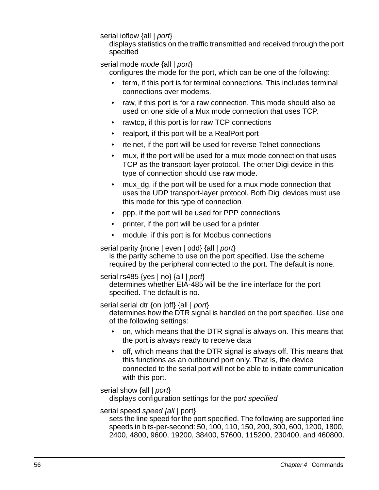# serial ioflow {all | port}

displays statistics on the traffic transmitted and received through the port specified

# serial mode *mode* {all | port}

configures the mode for the port, which can be one of the following:

- term, if this port is for terminal connections. This includes terminal connections over modems.
- raw, if this port is for a raw connection. This mode should also be used on one side of a Mux mode connection that uses TCP.
- rawtcp, if this port is for raw TCP connections
- realport, if this port will be a RealPort port
- rtelnet, if the port will be used for reverse Telnet connections
- mux, if the port will be used for a mux mode connection that uses TCP as the transport-layer protocol. The other Digi device in this type of connection should use raw mode.
- mux dg, if the port will be used for a mux mode connection that uses the UDP transport-layer protocol. Both Digi devices must use this mode for this type of connection.
- ppp, if the port will be used for PPP connections
- printer, if the port will be used for a printer
- module, if this port is for Modbus connections

serial parity {none | even | odd} {all | port}

is the parity scheme to use on the port specified. Use the scheme required by the peripheral connected to the port. The default is none.

serial rs485 {yes | no} {all | port}

determines whether EIA-485 will be the line interface for the port specified. The default is no.

serial serial dtr {on |off} {all | port}

determines how the DTR signal is handled on the port specified. Use one of the following settings:

- on, which means that the DTR signal is always on. This means that the port is always ready to receive data
- off, which means that the DTR signal is always off. This means that this functions as an outbound port only. That is, the device connected to the serial port will not be able to initiate communication with this port.

serial show {all | *port*} displays configuration settings for the port specified

# serial speed speed {all | port}

sets the line speed for the port specified. The following are supported line speeds in bits-per-second: 50, 100, 110, 150, 200, 300, 600, 1200, 1800, 2400, 4800, 9600, 19200, 38400, 57600, 115200, 230400, and 460800.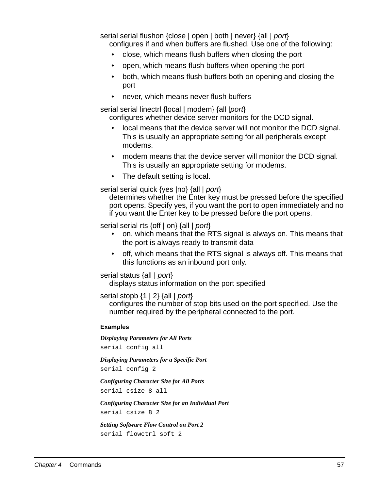serial serial flushon {close | open | both | never} {all | port} configures if and when buffers are flushed. Use one of the following:

- close, which means flush buffers when closing the port
- open, which means flush buffers when opening the port
- both, which means flush buffers both on opening and closing the port
- never, which means never flush buffers

serial serial linectrl {local | modem} {all | port}

configures whether device server monitors for the DCD signal.

- local means that the device server will not monitor the DCD signal. This is usually an appropriate setting for all peripherals except modems.
- modem means that the device server will monitor the DCD signal. This is usually an appropriate setting for modems.
- The default setting is local.

serial serial quick {yes |no} {all | port}

determines whether the Enter key must be pressed before the specified port opens. Specify yes, if you want the port to open immediately and no if you want the Enter key to be pressed before the port opens.

serial serial rts {off | on} {all | port}

- on, which means that the RTS signal is always on. This means that the port is always ready to transmit data
- off, which means that the RTS signal is always off. This means that this functions as an inbound port only.

serial status {all | port}

displays status information on the port specified

serial stopb  $\{1 | 2\}$  {all  $|$  port}

configures the number of stop bits used on the port specified. Use the number required by the peripheral connected to the port.

#### **Examples**

*Displaying Parameters for All Ports* serial config all

*Displaying Parameters for a Specific Port*

serial config 2

*Configuring Character Size for All Ports* serial csize 8 all

*Configuring Character Size for an Individual Port* serial csize 8 2

*Setting Software Flow Control on Port 2* serial flowctrl soft 2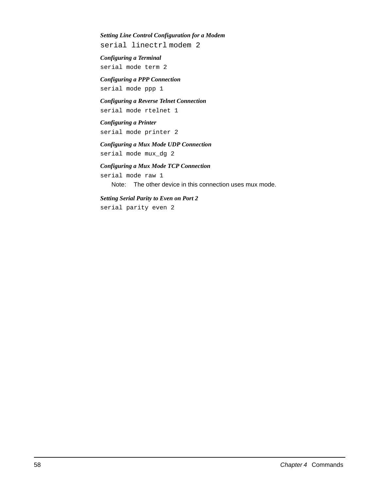#### *Setting Line Control Configuration for a Modem*

serial linectrl modem 2

*Configuring a Terminal* serial mode term 2

*Configuring a PPP Connection* serial mode ppp 1

*Configuring a Reverse Telnet Connection* serial mode rtelnet 1

*Configuring a Printer* serial mode printer 2

*Configuring a Mux Mode UDP Connection* serial mode mux\_dg 2

*Configuring a Mux Mode TCP Connection* serial mode raw 1

Note: The other device in this connection uses mux mode.

*Setting Serial Parity to Even on Port 2* serial parity even 2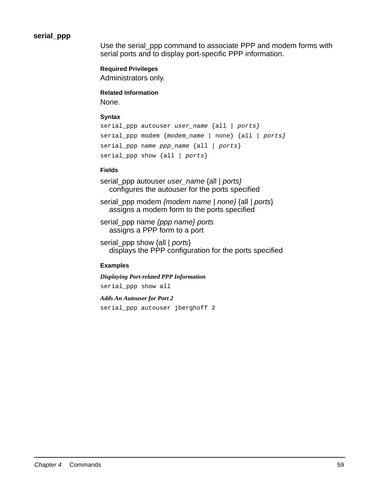# **serial\_ppp**

Use the serial\_ppp command to associate PPP and modem forms with serial ports and to display port-specific PPP information.

### **Required Privileges**

Administrators only.

### **Related Information**

None.

### **Syntax**

```
serial_ppp autouser user_name {all / ports}
serial_ppp modem {modem_name | none} {all | ports}
serial_ppp name pp_name {all | ports}
serial_ppp show {all / ports}
```
### **Fields**

serial\_ppp autouser user\_name {all | ports} configures the autouser for the ports specified

serial ppp modem {modem name | none} {all | ports} assigns a modem form to the ports specified

serial\_ppp name {ppp name} ports assigns a PPP form to a port

serial ppp show {all | ports} displays the PPP configuration for the ports specified

#### **Examples**

```
Displaying Port-related PPP Information
serial_ppp show all
Adds An Autouser for Port 2
```

```
serial_ppp autouser jberghoff 2
```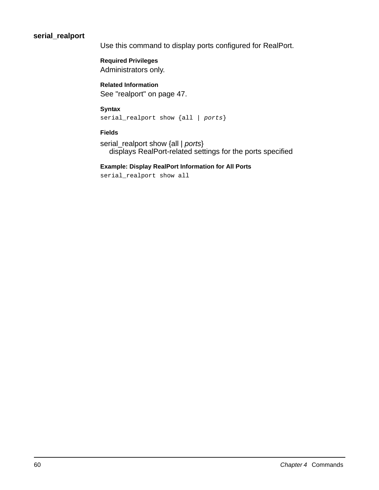# **serial\_realport**

Use this command to display ports configured for RealPort.

**Required Privileges** Administrators only.

**Related Information** See "realport" on page 47.

# **Syntax**

serial\_realport show {all | ports}

### **Fields**

serial\_realport show {all | ports} displays RealPort-related settings for the ports specified

### **Example: Display RealPort Information for All Ports**

serial\_realport show all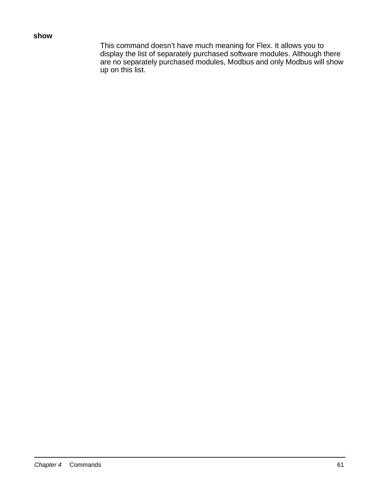# **show**

This command doesn't have much meaning for Flex. It allows you to display the list of separately purchased software modules. Although there are no separately purchased modules, Modbus and only Modbus will show up on this list.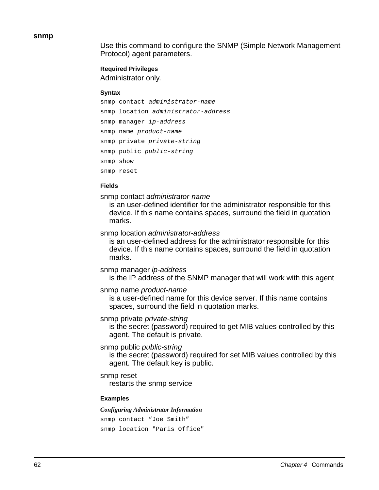**snmp**

Use this command to configure the SNMP (Simple Network Management Protocol) agent parameters.

**Required Privileges**

Administrator only.

### **Syntax**

```
snmp contact administrator-name
snmp location administrator-address
snmp manager ip-address
snmp name product-name
snmp private private-string
snmp public public-string
snmp show
snmp reset
```
### **Fields**

snmp contact administrator-name

is an user-defined identifier for the administrator responsible for this device. If this name contains spaces, surround the field in quotation marks.

snmp location administrator-address

is an user-defined address for the administrator responsible for this device. If this name contains spaces, surround the field in quotation marks.

### snmp manager ip-address

is the IP address of the SNMP manager that will work with this agent

### snmp name product-name

is a user-defined name for this device server. If this name contains spaces, surround the field in quotation marks.

### snmp private private-string

is the secret (password) required to get MIB values controlled by this agent. The default is private.

### snmp public *public-string*

is the secret (password) required for set MIB values controlled by this agent. The default key is public.

### snmp reset

restarts the snmp service

### **Examples**

#### *Configuring Administrator Information*

```
snmp contact "Joe Smith"
snmp location "Paris Office"
```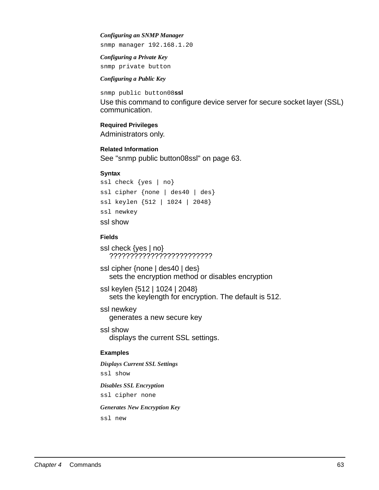#### *Configuring an SNMP Manager*

snmp manager 192.168.1.20

*Configuring a Private Key*  snmp private button

#### *Configuring a Public Key*

snmp public button08**ssl** Use this command to configure device server for secure socket layer (SSL) communication.

#### **Required Privileges**

Administrators only.

**Related Information** See "snmp public button08ssl" on page 63.

#### **Syntax**

```
ssl check {yes | no}
ssl cipher {none | des40 | des}
ssl keylen {512 | 1024 | 2048}
ssl newkey
ssl show
```
### **Fields**

```
ssl check {yes | no}
  ?????????????????????????
```
ssl cipher {none | des40 | des} sets the encryption method or disables encryption

ssl keylen {512 | 1024 | 2048} sets the keylength for encryption. The default is 512.

ssl newkey generates a new secure key

ssl show displays the current SSL settings.

### **Examples**

```
Displays Current SSL Settings
ssl show
Disables SSL Encryption
ssl cipher none
Generates New Encryption Key
```
ssl new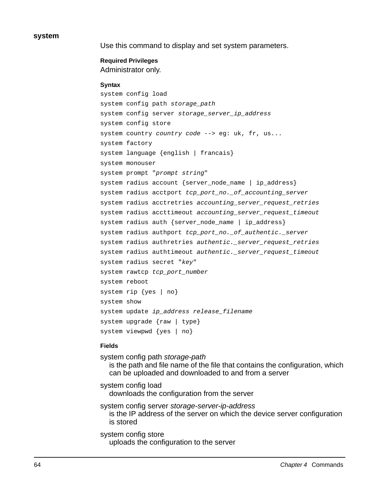#### **system**

Use this command to display and set system parameters.

### **Required Privileges** Administrator only.

### **Syntax**

```
system config load
system config path storage_path
system config server storage_server_ip_address
system config store
system country country code --> eg: uk, fr, us...
system factory
system language {english | francais}
system monouser
system prompt "prompt string"
system radius account {server_node_name | ip_address}
system radius acctport tcp_port_no._of_accounting_server
system radius acctretries accounting_server_request_retries
system radius accttimeout accounting_server_request_timeout
system radius auth {server_node_name | ip_address}
system radius authport tcp_port_no._of_authentic._server
system radius authretries authentic._server_request_retries
system radius authtimeout authentic._server_request_timeout
system radius secret "key"
system rawtcp tcp_port_number
system reboot
system rip {yes | no} 
system show
system update ip_address release_filename
system upgrade {raw | type}
system viewpwd {yes | no}
```
#### **Fields**

system config path storage-path is the path and file name of the file that contains the configuration, which can be uploaded and downloaded to and from a server

system config load downloads the configuration from the server

system config server storage-server-ip-address is the IP address of the server on which the device server configuration is stored

system config store uploads the configuration to the server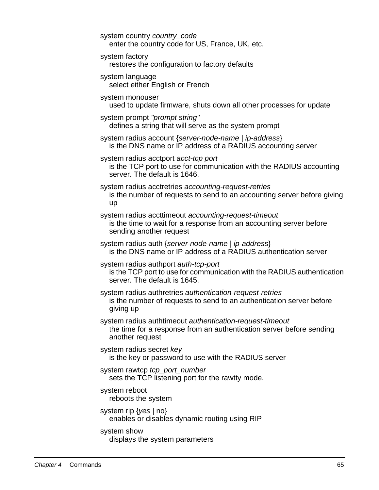system country country\_code enter the country code for US, France, UK, etc.

system factory

restores the configuration to factory defaults

system language

select either English or French

system monouser

used to update firmware, shuts down all other processes for update

system prompt "prompt string"

defines a string that will serve as the system prompt

system radius account {server-node-name | ip-address} is the DNS name or IP address of a RADIUS accounting server

system radius acctport acct-tcp port is the TCP port to use for communication with the RADIUS accounting server. The default is 1646.

- system radius acctretries accounting-request-retries is the number of requests to send to an accounting server before giving up
- system radius accttimeout accounting-request-timeout is the time to wait for a response from an accounting server before sending another request

system radius auth {server-node-name | ip-address} is the DNS name or IP address of a RADIUS authentication server

system radius authport auth-tcp-port is the TCP port to use for communication with the RADIUS authentication server. The default is 1645.

system radius authretries authentication-request-retries is the number of requests to send to an authentication server before giving up

system radius authtimeout authentication-request-timeout the time for a response from an authentication server before sending another request

system radius secret key is the key or password to use with the RADIUS server

system rawtcp tcp\_port\_number sets the TCP listening port for the rawtty mode.

system reboot reboots the system

system rip  $\{yes \mid no\}$ enables or disables dynamic routing using RIP

# system show

displays the system parameters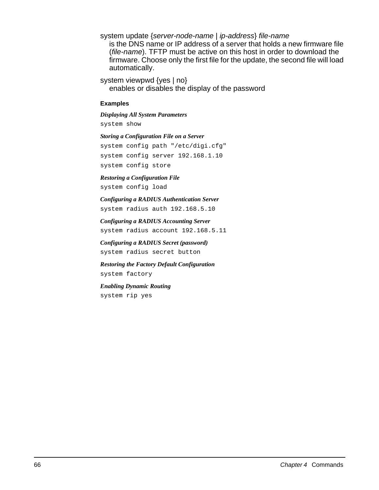system update {server-node-name | ip-address} file-name is the DNS name or IP address of a server that holds a new firmware file (file-name). TFTP must be active on this host in order to download the firmware. Choose only the first file for the update, the second file will load automatically.

system viewpwd {yes | no} enables or disables the display of the password

#### **Examples**

*Displaying All System Parameters*

system show

*Storing a Configuration File on a Server* system config path "/etc/digi.cfg" system config server 192.168.1.10 system config store

*Restoring a Configuration File*

system config load

*Configuring a RADIUS Authentication Server* system radius auth 192.168.5.10

*Configuring a RADIUS Accounting Server* system radius account 192.168.5.11

*Configuring a RADIUS Secret (password)* system radius secret button

*Restoring the Factory Default Configuration* system factory

*Enabling Dynamic Routing* system rip yes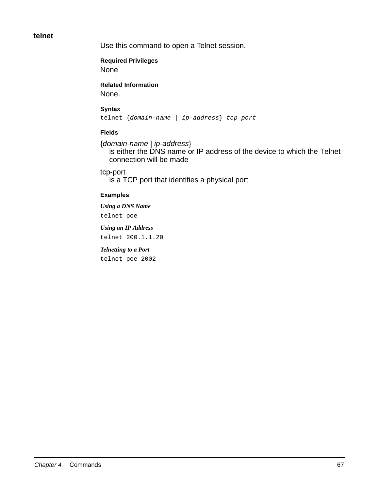# **telnet**

Use this command to open a Telnet session.

**Required Privileges**

None

**Related Information** None.

### **Syntax**

telnet {domain-name | ip-address} tcp\_port

# **Fields**

{domain-name | ip-address} is either the DNS name or IP address of the device to which the Telnet connection will be made

tcp-port is a TCP port that identifies a physical port

# **Examples**

*Using a DNS Name* telnet poe

*Using an IP Address* telnet 200.1.1.20

*Telnetting to a Port* 

telnet poe 2002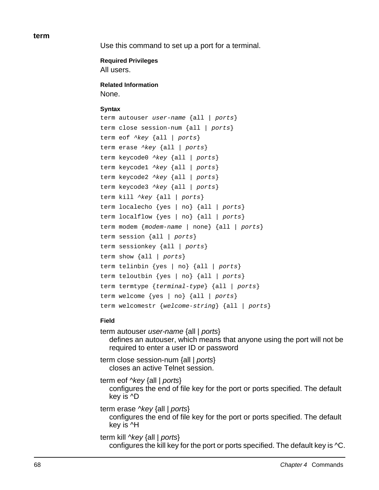**term**

Use this command to set up a port for a terminal.

**Required Privileges**

All users.

**Related Information** None.

# **Syntax**

term autouser user-name {all | ports} term close session-num {all | ports} term eof  $\text{key}$  {all | ports} term erase ^key {all | ports} term keycode0 ^key {all | ports} term keycode1 ^key {all | ports} term keycode2 ^key {all | ports} term keycode3 ^key {all | ports} term kill  $\wedge$ key {all | ports} term localecho {yes | no} {all | ports} term localflow  $\{yes \mid no\}$   $\{all \mid ports\}$ term modem {modem-name | none} {all | ports} term session {all | ports} term sessionkey {all | ports} term show  $\{all \mid ports\}$ term telinbin {yes | no} {all | ports} term teloutbin {yes | no} {all | ports} term termtype {terminal-type} {all | ports} term welcome {yes | no} {all | ports} term welcomestr {welcome-string} {all | ports}

# **Field**

term autouser user-name {all | ports} defines an autouser, which means that anyone using the port will not be required to enter a user ID or password

term close session-num {all | ports} closes an active Telnet session.

term eof ^key {all | ports}

configures the end of file key for the port or ports specified. The default key is ^D

term erase ^key {all | ports} configures the end of file key for the port or ports specified. The default key is ^H

term kill ^key {all | ports} configures the kill key for the port or ports specified. The default key is ^C.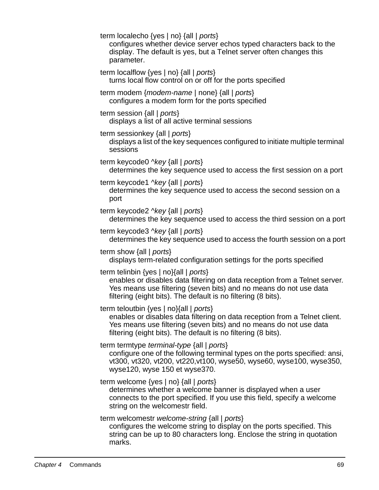term localecho {yes | no} {all | ports} configures whether device server echos typed characters back to the display. The default is yes, but a Telnet server often changes this parameter. term localflow {yes | no} {all | ports} turns local flow control on or off for the ports specified term modem {modem-name | none} {all | ports} configures a modem form for the ports specified term session {all | ports} displays a list of all active terminal sessions term sessionkey {all | ports} displays a list of the key sequences configured to initiate multiple terminal sessions term keycode0 ^key {all | ports} determines the key sequence used to access the first session on a port term keycode1  $\text{key}$  {all | ports} determines the key sequence used to access the second session on a port term keycode2 ^key {all | ports} determines the key sequence used to access the third session on a port term keycode3 ^key {all | ports} determines the key sequence used to access the fourth session on a port term show {all | ports} displays term-related configuration settings for the ports specified term telinbin {yes | no}{all | ports} enables or disables data filtering on data reception from a Telnet server. Yes means use filtering (seven bits) and no means do not use data filtering (eight bits). The default is no filtering (8 bits). term teloutbin {yes | no}{all | ports} enables or disables data filtering on data reception from a Telnet client. Yes means use filtering (seven bits) and no means do not use data filtering (eight bits). The default is no filtering (8 bits). term termtype *terminal-type* {all | *ports*} configure one of the following terminal types on the ports specified: ansi, vt300, vt320, vt200, vt220,vt100, wyse50, wyse60, wyse100, wyse350, wyse120, wyse 150 et wyse370. term welcome {yes | no} {all | ports} determines whether a welcome banner is displayed when a user connects to the port specified. If you use this field, specify a welcome string on the welcomestr field. term welcomestr welcome-string {all | ports} configures the welcome string to display on the ports specified. This string can be up to 80 characters long. Enclose the string in quotation marks.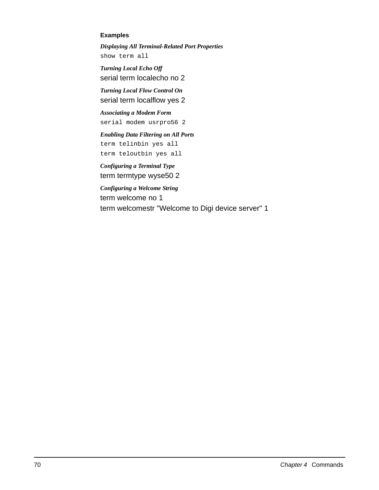### **Examples**

*Displaying All Terminal-Related Port Properties* show term all

*Turning Local Echo Off* serial term localecho no 2

*Turning Local Flow Control On* serial term localflow yes 2

*Associating a Modem Form* serial modem usrpro56 2

*Enabling Data Filtering on All Ports* term telinbin yes all

term teloutbin yes all

*Configuring a Terminal Type* term termtype wyse50 2

*Configuring a Welcome String* term welcome no 1 term welcomestr "Welcome to Digi device server" 1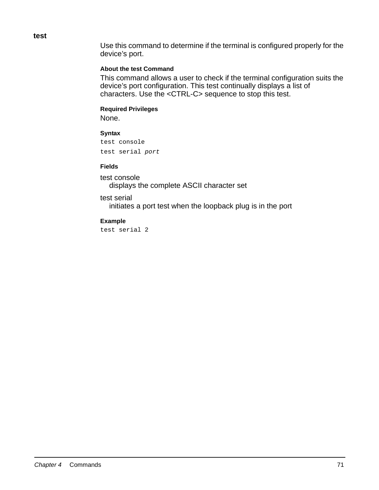**test**

Use this command to determine if the terminal is configured properly for the device's port.

# **About the test Command**

This command allows a user to check if the terminal configuration suits the device's port configuration. This test continually displays a list of characters. Use the <CTRL-C> sequence to stop this test.

# **Required Privileges**

None.

## **Syntax**

```
test console
test serial port
```
### **Fields**

test console displays the complete ASCII character set

# test serial

initiates a port test when the loopback plug is in the port

# **Example**

test serial 2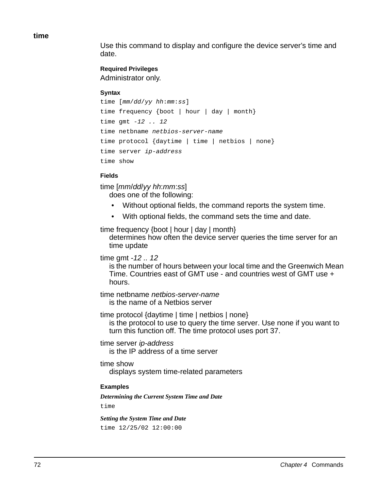**time**

Use this command to display and configure the device server's time and date.

# **Required Privileges**

Administrator only.

### **Syntax**

```
time [mm/dd/yy hh:mm:ss]
time frequency {boot | hour | day | month}
time gmt -12 .. 12
time netbname netbios-server-name
time protocol {daytime | time | netbios | none}
time server ip-address
time show
```
# **Fields**

time [mm/dd/yy hh:mm:ss]

does one of the following:

- Without optional fields, the command reports the system time.
- With optional fields, the command sets the time and date.

time frequency {boot | hour | day | month}

determines how often the device server queries the time server for an time update

# time gmt -12 .. 12

is the number of hours between your local time and the Greenwich Mean Time. Countries east of GMT use - and countries west of GMT use + hours.

time netbname netbios-server-name is the name of a Netbios server

time protocol {daytime | time | netbios | none}

is the protocol to use to query the time server. Use none if you want to turn this function off. The time protocol uses port 37.

time server ip-address

is the IP address of a time server

time show

displays system time-related parameters

# **Examples**

*Determining the Current System Time and Date*

time

*Setting the System Time and Date* time 12/25/02 12:00:00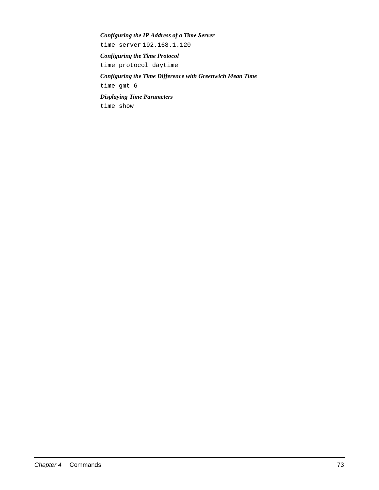### *Configuring the IP Address of a Time Server*

time server 192.168.1.120

*Configuring the Time Protocol* 

time protocol daytime

# *Configuring the Time Difference with Greenwich Mean Time* time gmt 6

*Displaying Time Parameters*

time show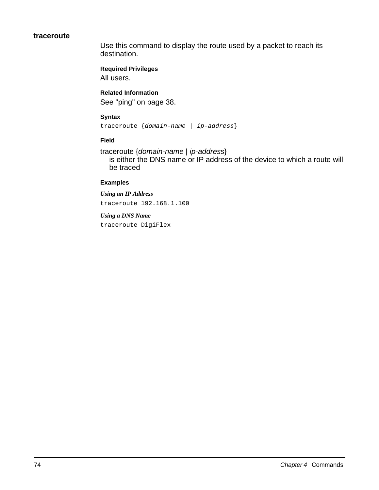## **traceroute**

Use this command to display the route used by a packet to reach its destination.

**Required Privileges** All users.

**Related Information** See "ping" on page 38.

## **Syntax**

traceroute {domain-name | ip-address}

## **Field**

traceroute {domain-name | ip-address} is either the DNS name or IP address of the device to which a route will be traced

## **Examples**

*Using an IP Address*

traceroute 192.168.1.100

*Using a DNS Name* traceroute DigiFlex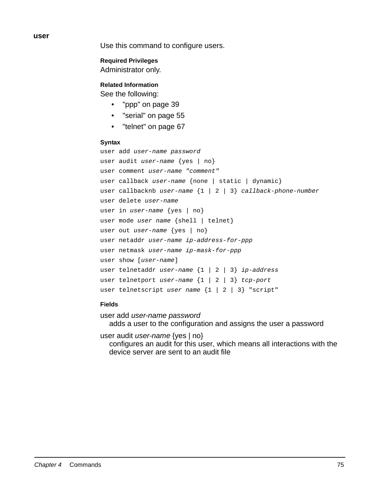**user**

Use this command to configure users.

**Required Privileges**

Administrator only.

**Related Information**

See the following:

- "ppp" on page 39
- "serial" on page 55
- "telnet" on page 67

#### **Syntax**

```
user add user-name password
user audit user-name {yes | no}
user comment user-name "comment"
user callback user-name {none | static | dynamic}
user callbacknb user-name {1 | 2 | 3} callback-phone-number
user delete user-name
user in user-name {yes | no}
user mode user name {shell | telnet}
user out user-name {yes | no}
user netaddr user-name ip-address-for-ppp
user netmask user-name ip-mask-for-ppp
user show [user-name]
user telnetaddr user-name \{1 \mid 2 \mid 3\} ip-address
user telnetport user-name \{1 \mid 2 \mid 3\} tcp-port
user telnetscript user name \{1 \mid 2 \mid 3\} "script"
```
## **Fields**

user add user-name password adds a user to the configuration and assigns the user a password

user audit user-name {yes | no}

configures an audit for this user, which means all interactions with the device server are sent to an audit file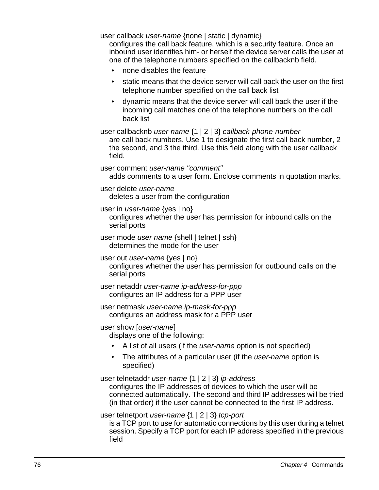user callback user-name {none | static | dynamic}

configures the call back feature, which is a security feature. Once an inbound user identifies him- or herself the device server calls the user at one of the telephone numbers specified on the callbacknb field.

- none disables the feature
- static means that the device server will call back the user on the first telephone number specified on the call back list
- dynamic means that the device server will call back the user if the incoming call matches one of the telephone numbers on the call back list

user callbacknb user-name {1 | 2 | 3} callback-phone-number

are call back numbers. Use 1 to designate the first call back number, 2 the second, and 3 the third. Use this field along with the user callback field.

user comment user-name "comment" adds comments to a user form. Enclose comments in quotation marks.

user delete user-name

deletes a user from the configuration

user in *user-name* {yes | no}

configures whether the user has permission for inbound calls on the serial ports

- user mode user name {shell | telnet | ssh} determines the mode for the user
- user out *user-name* {yes | no} configures whether the user has permission for outbound calls on the serial ports

user netaddr user-name ip-address-for-ppp configures an IP address for a PPP user

user netmask user-name ip-mask-for-ppp configures an address mask for a PPP user

user show [user-name]

displays one of the following:

- A list of all users (if the *user-name* option is not specified)
- The attributes of a particular user (if the user-name option is specified)

user telnetaddr user-name {1 | 2 | 3} ip-address

configures the IP addresses of devices to which the user will be connected automatically. The second and third IP addresses will be tried (in that order) if the user cannot be connected to the first IP address.

user telnetport user-name {1 | 2 | 3} tcp-port

is a TCP port to use for automatic connections by this user during a telnet session. Specify a TCP port for each IP address specified in the previous field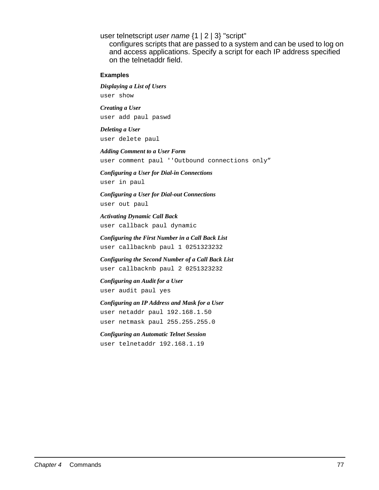user telnetscript user name {1 | 2 | 3} "script"

configures scripts that are passed to a system and can be used to log on and access applications. Specify a script for each IP address specified on the telnetaddr field.

**Examples**

*Displaying a List of Users*

user show

*Creating a User* user add paul paswd

*Deleting a User* user delete paul

*Adding Comment to a User Form* user comment paul ''Outbound connections only"

*Configuring a User for Dial-in Connections* user in paul

*Configuring a User for Dial-out Connections* user out paul

*Activating Dynamic Call Back* user callback paul dynamic

*Configuring the First Number in a Call Back List* user callbacknb paul 1 0251323232

*Configuring the Second Number of a Call Back List* user callbacknb paul 2 0251323232

*Configuring an Audit for a User* user audit paul yes

*Configuring an IP Address and Mask for a User* user netaddr paul 192.168.1.50 user netmask paul 255.255.255.0

*Configuring an Automatic Telnet Session* user telnetaddr 192.168.1.19